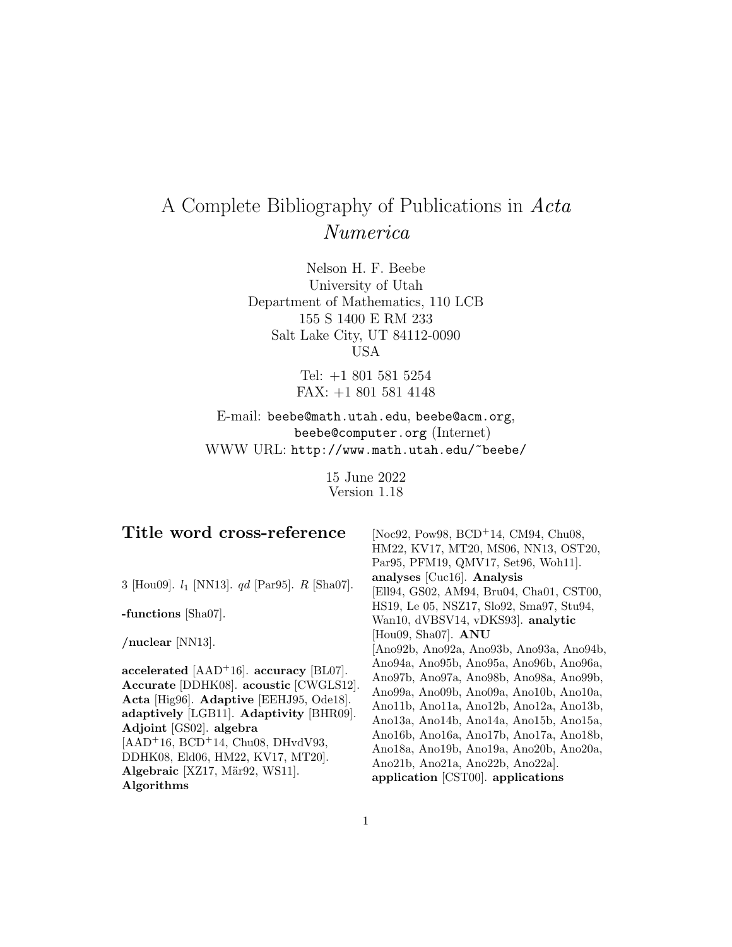# A Complete Bibliography of Publications in Acta Numerica

Nelson H. F. Beebe University of Utah Department of Mathematics, 110 LCB 155 S 1400 E RM 233 Salt Lake City, UT 84112-0090 USA

> Tel: +1 801 581 5254 FAX: +1 801 581 4148

E-mail: beebe@math.utah.edu, beebe@acm.org, beebe@computer.org (Internet) WWW URL: http://www.math.utah.edu/~beebe/

> 15 June 2022 Version 1.18

| Title word cross-reference                                                                                                                                                                                                                                                                                                         | [Noc92, Pow98, BCD <sup>+</sup> 14, CM94, Chu08,<br>HM22, KV17, MT20, MS06, NN13, OST20,<br>Par95, PFM19, QMV17, Set96, Woh11.                                                                                                                                                                                                                                                     |
|------------------------------------------------------------------------------------------------------------------------------------------------------------------------------------------------------------------------------------------------------------------------------------------------------------------------------------|------------------------------------------------------------------------------------------------------------------------------------------------------------------------------------------------------------------------------------------------------------------------------------------------------------------------------------------------------------------------------------|
| 3 [Hou09]. $l_1$ [NN13]. $qd$ [Par95]. R [Sha07].                                                                                                                                                                                                                                                                                  | analyses [Cuc16]. Analysis<br>[Ell94, GS02, AM94, Bru04, Cha01, CST00,                                                                                                                                                                                                                                                                                                             |
| -functions $[\text{Sha}07]$ .                                                                                                                                                                                                                                                                                                      | HS19, Le 05, NSZ17, Slo92, Sma97, Stu94,<br>Wan10, dVBSV14, vDKS93. analytic                                                                                                                                                                                                                                                                                                       |
| /nuclear $[NN13]$ .                                                                                                                                                                                                                                                                                                                | [Hou09, Sha07]. $ANU$<br>[Ano92b, Ano92a, Ano93b, Ano93a, Ano94b,                                                                                                                                                                                                                                                                                                                  |
| accelerated $[AAD+16]$ . accuracy $[BL07]$ .<br>Accurate [DDHK08]. acoustic [CWGLS12].<br>Acta [Hig96]. Adaptive [EEHJ95, Ode18].<br>adaptively [LGB11]. Adaptivity [BHR09].<br>Adjoint [GS02]. algebra<br>$[AAD+16, BCD+14, Chu08, DHvdV93,$<br>DDHK08, Eld06, HM22, KV17, MT20].<br>Algebraic [XZ17, Mär92, WS11].<br>Algorithms | Ano94a, Ano95b, Ano95a, Ano96b, Ano96a,<br>Ano97b, Ano97a, Ano98b, Ano98a, Ano99b,<br>Ano99a, Ano09b, Ano09a, Ano10b, Ano10a,<br>Ano11b, Ano11a, Ano12b, Ano12a, Ano13b,<br>Ano13a, Ano14b, Ano14a, Ano15b, Ano15a,<br>Ano16b, Ano16a, Ano17b, Ano17a, Ano18b,<br>Ano18a, Ano19b, Ano19a, Ano20b, Ano20a,<br>Ano21b, Ano21a, Ano22b, Ano22a].<br>application [CST00]. applications |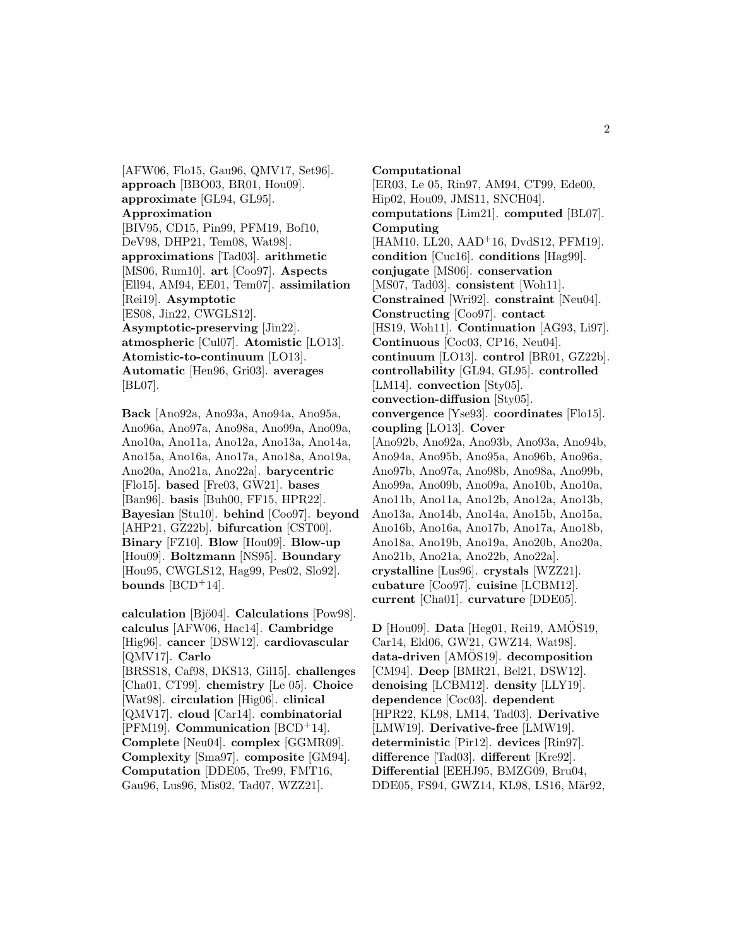[AFW06, Flo15, Gau96, QMV17, Set96]. **approach** [BBO03, BR01, Hou09]. **approximate** [GL94, GL95]. **Approximation** [BIV95, CD15, Pin99, PFM19, Bof10, DeV98, DHP21, Tem08, Wat98]. **approximations** [Tad03]. **arithmetic** [MS06, Rum10]. **art** [Coo97]. **Aspects** [Ell94, AM94, EE01, Tem07]. **assimilation** [Rei19]. **Asymptotic** [ES08, Jin22, CWGLS12]. **Asymptotic-preserving** [Jin22]. **atmospheric** [Cul07]. **Atomistic** [LO13]. **Atomistic-to-continuum** [LO13]. **Automatic** [Hen96, Gri03]. **averages** [BL07].

**Back** [Ano92a, Ano93a, Ano94a, Ano95a, Ano96a, Ano97a, Ano98a, Ano99a, Ano09a, Ano10a, Ano11a, Ano12a, Ano13a, Ano14a, Ano15a, Ano16a, Ano17a, Ano18a, Ano19a, Ano20a, Ano21a, Ano22a]. **barycentric** [Flo15]. **based** [Fre03, GW21]. **bases** [Ban96]. **basis** [Buh00, FF15, HPR22]. **Bayesian** [Stu10]. **behind** [Coo97]. **beyond** [AHP21, GZ22b]. **bifurcation** [CST00]. **Binary** [FZ10]. **Blow** [Hou09]. **Blow-up** [Hou09]. **Boltzmann** [NS95]. **Boundary** [Hou95, CWGLS12, Hag99, Pes02, Slo92]. **bounds**  $[BCD+14]$ .

**calculation** [Bjö04]. **Calculations** [Pow98]. **calculus** [AFW06, Hac14]. **Cambridge** [Hig96]. **cancer** [DSW12]. **cardiovascular** [QMV17]. **Carlo** [BRSS18, Caf98, DKS13, Gil15]. **challenges** [Cha01, CT99]. **chemistry** [Le 05]. **Choice** [Wat98]. **circulation** [Hig06]. **clinical** [QMV17]. **cloud** [Car14]. **combinatorial** [PFM19]. **Communication** [BCD<sup>+</sup>14]. **Complete** [Neu04]. **complex** [GGMR09]. **Complexity** [Sma97]. **composite** [GM94]. **Computation** [DDE05, Tre99, FMT16, Gau96, Lus96, Mis02, Tad07, WZZ21].

**Computational** [ER03, Le 05, Rin97, AM94, CT99, Ede00, Hip02, Hou09, JMS11, SNCH04]. **computations** [Lim21]. **computed** [BL07]. **Computing** [HAM10, LL20, AAD<sup>+</sup>16, DvdS12, PFM19]. **condition** [Cuc16]. **conditions** [Hag99]. **conjugate** [MS06]. **conservation** [MS07, Tad03]. **consistent** [Woh11]. **Constrained** [Wri92]. **constraint** [Neu04]. **Constructing** [Coo97]. **contact** [HS19, Woh11]. **Continuation** [AG93, Li97]. **Continuous** [Coc03, CP16, Neu04]. **continuum** [LO13]. **control** [BR01, GZ22b]. **controllability** [GL94, GL95]. **controlled** [LM14]. **convection** [Sty05]. **convection-diffusion** [Sty05]. **convergence** [Yse93]. **coordinates** [Flo15]. **coupling** [LO13]. **Cover** [Ano92b, Ano92a, Ano93b, Ano93a, Ano94b, Ano94a, Ano95b, Ano95a, Ano96b, Ano96a, Ano97b, Ano97a, Ano98b, Ano98a, Ano99b, Ano99a, Ano09b, Ano09a, Ano10b, Ano10a, Ano11b, Ano11a, Ano12b, Ano12a, Ano13b, Ano13a, Ano14b, Ano14a, Ano15b, Ano15a, Ano16b, Ano16a, Ano17b, Ano17a, Ano18b, Ano18a, Ano19b, Ano19a, Ano20b, Ano20a, Ano21b, Ano21a, Ano22b, Ano22a]. **crystalline** [Lus96]. **crystals** [WZZ21]. **cubature** [Coo97]. **cuisine** [LCBM12]. **current** [Cha01]. **curvature** [DDE05].

 $D$  [Hou09]. **Data** [Heg01, Rei19, AMOS19, Car14, Eld06, GW21, GWZ14, Wat98]. data-driven [AMOS19]. decomposition [CM94]. **Deep** [BMR21, Bel21, DSW12]. **denoising** [LCBM12]. **density** [LLY19]. **dependence** [Coc03]. **dependent** [HPR22, KL98, LM14, Tad03]. **Derivative** [LMW19]. **Derivative-free** [LMW19]. **deterministic** [Pir12]. **devices** [Rin97]. **difference** [Tad03]. **different** [Kre92]. **Differential** [EEHJ95, BMZG09, Bru04, DDE05, FS94, GWZ14, KL98, LS16, Mär92,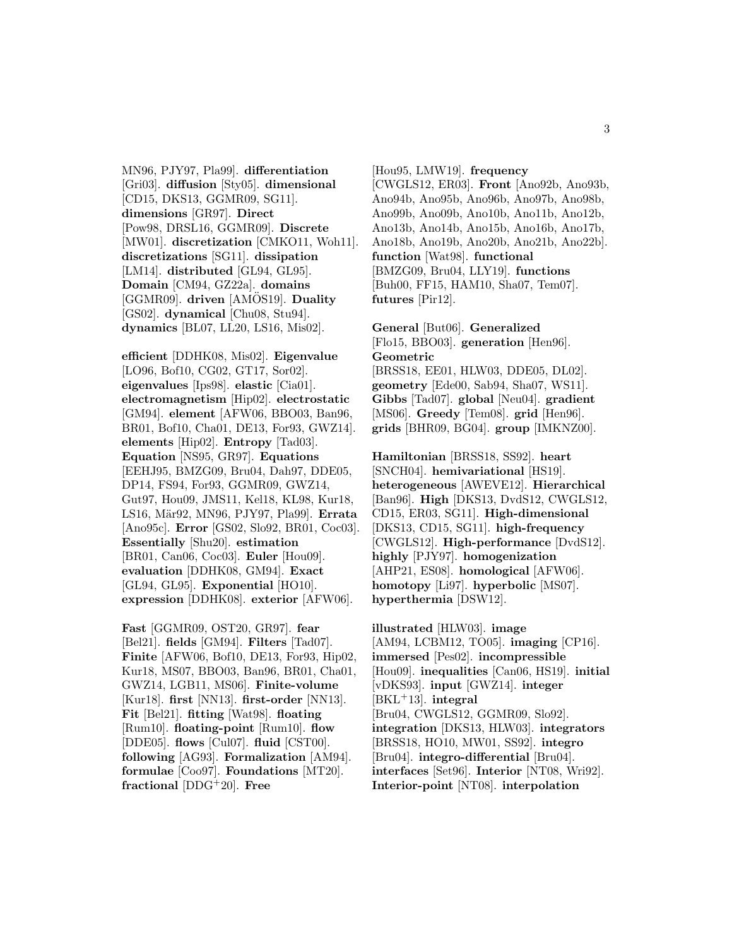MN96, PJY97, Pla99]. **differentiation** [Gri03]. **diffusion** [Sty05]. **dimensional** [CD15, DKS13, GGMR09, SG11]. **dimensions** [GR97]. **Direct** [Pow98, DRSL16, GGMR09]. **Discrete** [MW01]. **discretization** [CMKO11, Woh11]. **discretizations** [SG11]. **dissipation** [LM14]. **distributed** [GL94, GL95]. **Domain** [CM94, GZ22a]. **domains** [GGMR09]. **driven** [AMOS19]. **Duality** [GS02]. **dynamical** [Chu08, Stu94]. **dynamics** [BL07, LL20, LS16, Mis02].

**efficient** [DDHK08, Mis02]. **Eigenvalue** [LO96, Bof10, CG02, GT17, Sor02]. **eigenvalues** [Ips98]. **elastic** [Cia01]. **electromagnetism** [Hip02]. **electrostatic** [GM94]. **element** [AFW06, BBO03, Ban96, BR01, Bof10, Cha01, DE13, For93, GWZ14]. **elements** [Hip02]. **Entropy** [Tad03]. **Equation** [NS95, GR97]. **Equations** [EEHJ95, BMZG09, Bru04, Dah97, DDE05, DP14, FS94, For93, GGMR09, GWZ14, Gut97, Hou09, JMS11, Kel18, KL98, Kur18, LS16, M¨ar92, MN96, PJY97, Pla99]. **Errata** [Ano95c]. **Error** [GS02, Slo92, BR01, Coc03]. **Essentially** [Shu20]. **estimation** [BR01, Can06, Coc03]. **Euler** [Hou09]. **evaluation** [DDHK08, GM94]. **Exact** [GL94, GL95]. **Exponential** [HO10]. **expression** [DDHK08]. **exterior** [AFW06].

**Fast** [GGMR09, OST20, GR97]. **fear** [Bel21]. **fields** [GM94]. **Filters** [Tad07]. **Finite** [AFW06, Bof10, DE13, For93, Hip02, Kur18, MS07, BBO03, Ban96, BR01, Cha01, GWZ14, LGB11, MS06]. **Finite-volume** [Kur18]. **first** [NN13]. **first-order** [NN13]. **Fit** [Bel21]. **fitting** [Wat98]. **floating** [Rum10]. **floating-point** [Rum10]. **flow** [DDE05]. **flows** [Cul07]. **fluid** [CST00]. **following** [AG93]. **Formalization** [AM94]. **formulae** [Coo97]. **Foundations** [MT20]. **fractional** [DDG<sup>+</sup>20]. **Free**

[Hou95, LMW19]. **frequency** [CWGLS12, ER03]. **Front** [Ano92b, Ano93b, Ano94b, Ano95b, Ano96b, Ano97b, Ano98b, Ano99b, Ano09b, Ano10b, Ano11b, Ano12b, Ano13b, Ano14b, Ano15b, Ano16b, Ano17b, Ano18b, Ano19b, Ano20b, Ano21b, Ano22b]. **function** [Wat98]. **functional** [BMZG09, Bru04, LLY19]. **functions** [Buh00, FF15, HAM10, Sha07, Tem07]. **futures** [Pir12].

**General** [But06]. **Generalized** [Flo15, BBO03]. **generation** [Hen96]. **Geometric** [BRSS18, EE01, HLW03, DDE05, DL02]. **geometry** [Ede00, Sab94, Sha07, WS11]. **Gibbs** [Tad07]. **global** [Neu04]. **gradient** [MS06]. **Greedy** [Tem08]. **grid** [Hen96]. **grids** [BHR09, BG04]. **group** [IMKNZ00].

**Hamiltonian** [BRSS18, SS92]. **heart** [SNCH04]. **hemivariational** [HS19]. **heterogeneous** [AWEVE12]. **Hierarchical** [Ban96]. **High** [DKS13, DvdS12, CWGLS12, CD15, ER03, SG11]. **High-dimensional** [DKS13, CD15, SG11]. **high-frequency** [CWGLS12]. **High-performance** [DvdS12]. **highly** [PJY97]. **homogenization** [AHP21, ES08]. **homological** [AFW06]. **homotopy** [Li97]. **hyperbolic** [MS07]. **hyperthermia** [DSW12].

**illustrated** [HLW03]. **image** [AM94, LCBM12, TO05]. **imaging** [CP16]. **immersed** [Pes02]. **incompressible** [Hou09]. **inequalities** [Can06, HS19]. **initial** [vDKS93]. **input** [GWZ14]. **integer** [BKL<sup>+</sup>13]. **integral** [Bru04, CWGLS12, GGMR09, Slo92]. **integration** [DKS13, HLW03]. **integrators** [BRSS18, HO10, MW01, SS92]. **integro** [Bru04]. **integro-differential** [Bru04]. **interfaces** [Set96]. **Interior** [NT08, Wri92]. **Interior-point** [NT08]. **interpolation**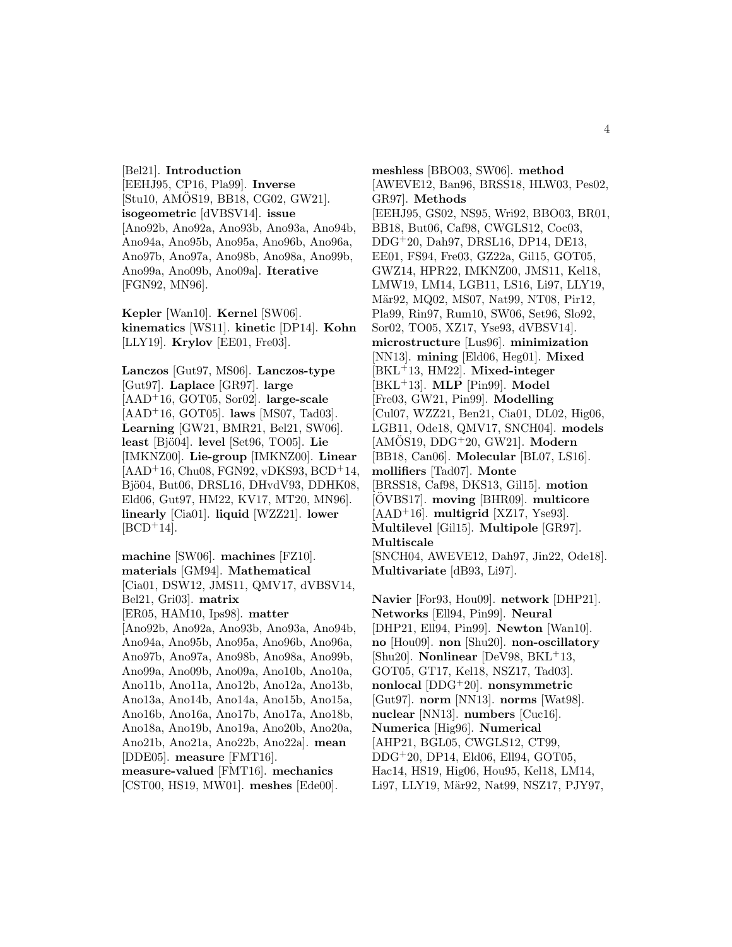[Bel21]. **Introduction** [EEHJ95, CP16, Pla99]. **Inverse** [Stu10, AMOS19, BB18, CG02, GW21]. **isogeometric** [dVBSV14]. **issue** [Ano92b, Ano92a, Ano93b, Ano93a, Ano94b, Ano94a, Ano95b, Ano95a, Ano96b, Ano96a, Ano97b, Ano97a, Ano98b, Ano98a, Ano99b, Ano99a, Ano09b, Ano09a]. **Iterative** [FGN92, MN96].

**Kepler** [Wan10]. **Kernel** [SW06]. **kinematics** [WS11]. **kinetic** [DP14]. **Kohn** [LLY19]. **Krylov** [EE01, Fre03].

**Lanczos** [Gut97, MS06]. **Lanczos-type** [Gut97]. **Laplace** [GR97]. **large** [AAD<sup>+</sup>16, GOT05, Sor02]. **large-scale** [AAD<sup>+</sup>16, GOT05]. **laws** [MS07, Tad03]. **Learning** [GW21, BMR21, Bel21, SW06]. **least** [Bjö04]. **level** [Set96, TO05]. **Lie** [IMKNZ00]. **Lie-group** [IMKNZ00]. **Linear** [AAD<sup>+</sup>16, Chu08, FGN92, vDKS93, BCD<sup>+</sup>14, Bjö04, But06, DRSL16, DHvdV93, DDHK08, Eld06, Gut97, HM22, KV17, MT20, MN96]. **linearly** [Cia01]. **liquid** [WZZ21]. **lower**  $[BCD+14]$ .

**machine** [SW06]. **machines** [FZ10]. **materials** [GM94]. **Mathematical** [Cia01, DSW12, JMS11, QMV17, dVBSV14, Bel21, Gri03]. **matrix** [ER05, HAM10, Ips98]. **matter** [Ano92b, Ano92a, Ano93b, Ano93a, Ano94b, Ano94a, Ano95b, Ano95a, Ano96b, Ano96a, Ano97b, Ano97a, Ano98b, Ano98a, Ano99b, Ano99a, Ano09b, Ano09a, Ano10b, Ano10a, Ano11b, Ano11a, Ano12b, Ano12a, Ano13b, Ano13a, Ano14b, Ano14a, Ano15b, Ano15a, Ano16b, Ano16a, Ano17b, Ano17a, Ano18b, Ano18a, Ano19b, Ano19a, Ano20b, Ano20a, Ano21b, Ano21a, Ano22b, Ano22a]. **mean** [DDE05]. **measure** [FMT16]. **measure-valued** [FMT16]. **mechanics** [CST00, HS19, MW01]. **meshes** [Ede00].

**meshless** [BBO03, SW06]. **method** [AWEVE12, Ban96, BRSS18, HLW03, Pes02, GR97]. **Methods** [EEHJ95, GS02, NS95, Wri92, BBO03, BR01, BB18, But06, Caf98, CWGLS12, Coc03, DDG<sup>+</sup>20, Dah97, DRSL16, DP14, DE13, EE01, FS94, Fre03, GZ22a, Gil15, GOT05, GWZ14, HPR22, IMKNZ00, JMS11, Kel18, LMW19, LM14, LGB11, LS16, Li97, LLY19, Mär92, MQ02, MS07, Nat99, NT08, Pir12, Pla99, Rin97, Rum10, SW06, Set96, Slo92, Sor02, TO05, XZ17, Yse93, dVBSV14]. **microstructure** [Lus96]. **minimization** [NN13]. **mining** [Eld06, Heg01]. **Mixed** [BKL<sup>+</sup>13, HM22]. **Mixed-integer** [BKL<sup>+</sup>13]. **MLP** [Pin99]. **Model** [Fre03, GW21, Pin99]. **Modelling** [Cul07, WZZ21, Ben21, Cia01, DL02, Hig06, LGB11, Ode18, QMV17, SNCH04]. **models** [AMOS19, DDG ¨ <sup>+</sup>20, GW21]. **Modern** [BB18, Can06]. **Molecular** [BL07, LS16]. **mollifiers** [Tad07]. **Monte** [BRSS18, Caf98, DKS13, Gil15]. **motion** [OVBS17]. ¨ **moving** [BHR09]. **multicore** [AAD<sup>+</sup>16]. **multigrid** [XZ17, Yse93]. **Multilevel** [Gil15]. **Multipole** [GR97]. **Multiscale** [SNCH04, AWEVE12, Dah97, Jin22, Ode18]. **Multivariate** [dB93, Li97].

**Navier** [For93, Hou09]. **network** [DHP21]. **Networks** [Ell94, Pin99]. **Neural** [DHP21, Ell94, Pin99]. **Newton** [Wan10]. **no** [Hou09]. **non** [Shu20]. **non-oscillatory** [Shu20]. **Nonlinear** [DeV98, BKL<sup>+</sup>13, GOT05, GT17, Kel18, NSZ17, Tad03]. **nonlocal** [DDG<sup>+</sup>20]. **nonsymmetric** [Gut97]. **norm** [NN13]. **norms** [Wat98]. **nuclear** [NN13]. **numbers** [Cuc16]. **Numerica** [Hig96]. **Numerical** [AHP21, BGL05, CWGLS12, CT99, DDG<sup>+</sup>20, DP14, Eld06, Ell94, GOT05, Hac14, HS19, Hig06, Hou95, Kel18, LM14, Li97, LLY19, Mär92, Nat99, NSZ17, PJY97,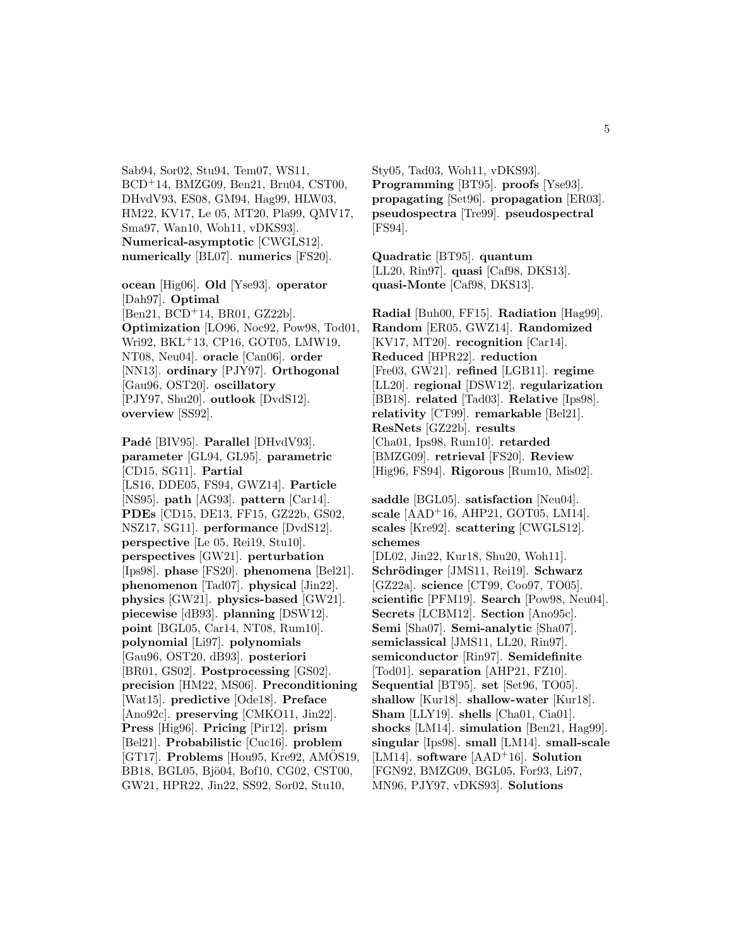Sab94, Sor02, Stu94, Tem07, WS11, BCD<sup>+</sup>14, BMZG09, Ben21, Bru04, CST00, DHvdV93, ES08, GM94, Hag99, HLW03, HM22, KV17, Le 05, MT20, Pla99, QMV17, Sma97, Wan10, Woh11, vDKS93]. **Numerical-asymptotic** [CWGLS12]. **numerically** [BL07]. **numerics** [FS20].

**ocean** [Hig06]. **Old** [Yse93]. **operator** [Dah97]. **Optimal** [Ben21, BCD<sup>+</sup>14, BR01, GZ22b]. **Optimization** [LO96, Noc92, Pow98, Tod01, Wri92, BKL<sup>+</sup>13, CP16, GOT05, LMW19, NT08, Neu04]. **oracle** [Can06]. **order** [NN13]. **ordinary** [PJY97]. **Orthogonal** [Gau96, OST20]. **oscillatory** [PJY97, Shu20]. **outlook** [DvdS12]. **overview** [SS92].

**Padé** [BIV95]. **Parallel** [DHvdV93]. **parameter** [GL94, GL95]. **parametric** [CD15, SG11]. **Partial** [LS16, DDE05, FS94, GWZ14]. **Particle** [NS95]. **path** [AG93]. **pattern** [Car14]. **PDEs** [CD15, DE13, FF15, GZ22b, GS02, NSZ17, SG11]. **performance** [DvdS12]. **perspective** [Le 05, Rei19, Stu10]. **perspectives** [GW21]. **perturbation** [Ips98]. **phase** [FS20]. **phenomena** [Bel21]. **phenomenon** [Tad07]. **physical** [Jin22]. **physics** [GW21]. **physics-based** [GW21]. **piecewise** [dB93]. **planning** [DSW12]. **point** [BGL05, Car14, NT08, Rum10]. **polynomial** [Li97]. **polynomials** [Gau96, OST20, dB93]. **posteriori** [BR01, GS02]. **Postprocessing** [GS02]. **precision** [HM22, MS06]. **Preconditioning** [Wat15]. **predictive** [Ode18]. **Preface** [Ano92c]. **preserving** [CMKO11, Jin22]. **Press** [Hig96]. **Pricing** [Pir12]. **prism** [Bel21]. **Probabilistic** [Cuc16]. **problem** [GT17]. **Problems** [Hou95, Kre92, AMOS19, BB18, BGL05, Bjö04, Bof10, CG02, CST00, GW21, HPR22, Jin22, SS92, Sor02, Stu10,

Sty05, Tad03, Woh11, vDKS93]. **Programming** [BT95]. **proofs** [Yse93]. **propagating** [Set96]. **propagation** [ER03]. **pseudospectra** [Tre99]. **pseudospectral** [FS94].

**Quadratic** [BT95]. **quantum** [LL20, Rin97]. **quasi** [Caf98, DKS13]. **quasi-Monte** [Caf98, DKS13].

**Radial** [Buh00, FF15]. **Radiation** [Hag99]. **Random** [ER05, GWZ14]. **Randomized** [KV17, MT20]. **recognition** [Car14]. **Reduced** [HPR22]. **reduction** [Fre03, GW21]. **refined** [LGB11]. **regime** [LL20]. **regional** [DSW12]. **regularization** [BB18]. **related** [Tad03]. **Relative** [Ips98]. **relativity** [CT99]. **remarkable** [Bel21]. **ResNets** [GZ22b]. **results** [Cha01, Ips98, Rum10]. **retarded** [BMZG09]. **retrieval** [FS20]. **Review** [Hig96, FS94]. **Rigorous** [Rum10, Mis02].

**saddle** [BGL05]. **satisfaction** [Neu04]. **scale** [AAD<sup>+</sup>16, AHP21, GOT05, LM14]. **scales** [Kre92]. **scattering** [CWGLS12]. **schemes** [DL02, Jin22, Kur18, Shu20, Woh11]. **Schr¨odinger** [JMS11, Rei19]. **Schwarz** [GZ22a]. **science** [CT99, Coo97, TO05]. **scientific** [PFM19]. **Search** [Pow98, Neu04]. **Secrets** [LCBM12]. **Section** [Ano95c]. **Semi** [Sha07]. **Semi-analytic** [Sha07]. **semiclassical** [JMS11, LL20, Rin97]. **semiconductor** [Rin97]. **Semidefinite** [Tod01]. **separation** [AHP21, FZ10]. **Sequential** [BT95]. **set** [Set96, TO05]. **shallow** [Kur18]. **shallow-water** [Kur18]. **Sham** [LLY19]. **shells** [Cha01, Cia01]. **shocks** [LM14]. **simulation** [Ben21, Hag99]. **singular** [Ips98]. **small** [LM14]. **small-scale** [LM14]. **software** [AAD<sup>+</sup>16]. **Solution** [FGN92, BMZG09, BGL05, For93, Li97, MN96, PJY97, vDKS93]. **Solutions**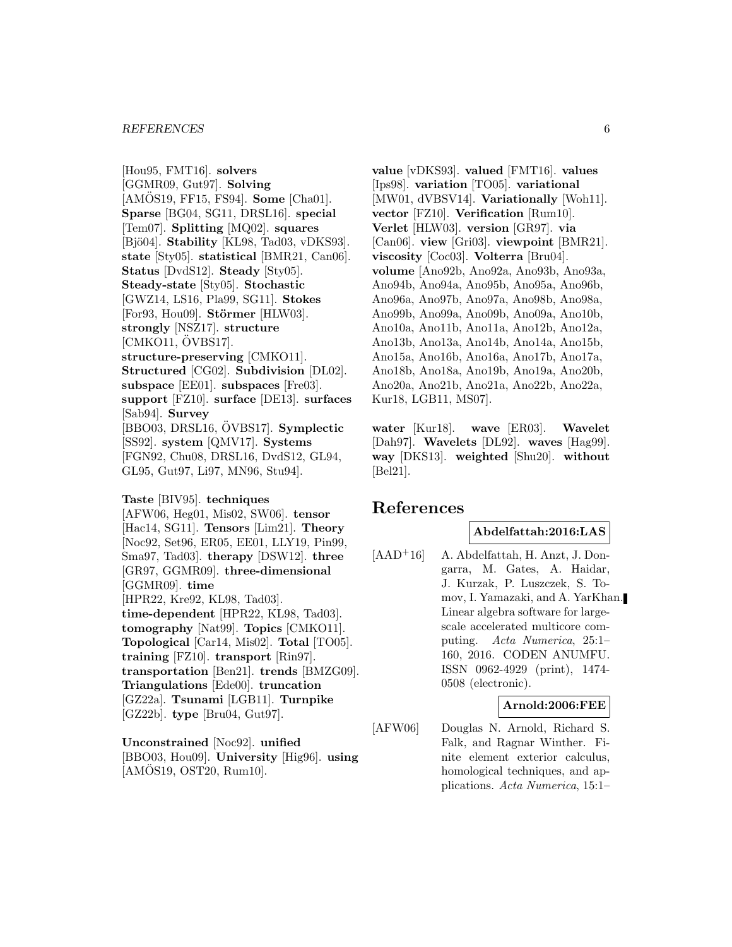[Hou95, FMT16]. **solvers** [GGMR09, Gut97]. **Solving** [AMOS19, FF15, FS94]. **Some** [Cha01]. **Sparse** [BG04, SG11, DRSL16]. **special** [Tem07]. **Splitting** [MQ02]. **squares** [Bjö04]. **Stability** [KL98, Tad03, vDKS93]. **state** [Sty05]. **statistical** [BMR21, Can06]. **Status** [DvdS12]. **Steady** [Sty05]. **Steady-state** [Sty05]. **Stochastic** [GWZ14, LS16, Pla99, SG11]. **Stokes** [For93, Hou09]. **Störmer** [HLW03]. **strongly** [NSZ17]. **structure**  $[CMKO11, \ddot{O}VBS17]$ . **structure-preserving** [CMKO11]. **Structured** [CG02]. **Subdivision** [DL02]. **subspace** [EE01]. **subspaces** [Fre03]. **support** [FZ10]. **surface** [DE13]. **surfaces** [Sab94]. **Survey** [BBO03, DRSL16, OVBS17]. **Symplectic** [SS92]. **system** [QMV17]. **Systems** [FGN92, Chu08, DRSL16, DvdS12, GL94, GL95, Gut97, Li97, MN96, Stu94]. **Taste** [BIV95]. **techniques** [AFW06, Heg01, Mis02, SW06]. **tensor**

[Hac14, SG11]. **Tensors** [Lim21]. **Theory** [Noc92, Set96, ER05, EE01, LLY19, Pin99, Sma97, Tad03]. **therapy** [DSW12]. **three** [GR97, GGMR09]. **three-dimensional** [GGMR09]. **time** [HPR22, Kre92, KL98, Tad03]. **time-dependent** [HPR22, KL98, Tad03]. **tomography** [Nat99]. **Topics** [CMKO11]. **Topological** [Car14, Mis02]. **Total** [TO05]. **training** [FZ10]. **transport** [Rin97]. **transportation** [Ben21]. **trends** [BMZG09]. **Triangulations** [Ede00]. **truncation** [GZ22a]. **Tsunami** [LGB11]. **Turnpike** [GZ22b]. **type** [Bru04, Gut97].

**Unconstrained** [Noc92]. **unified** [BBO03, Hou09]. **University** [Hig96]. **using**  $[AM\ddot{O}S19, OST20, Rum10].$ 

**value** [vDKS93]. **valued** [FMT16]. **values** [Ips98]. **variation** [TO05]. **variational** [MW01, dVBSV14]. **Variationally** [Woh11]. **vector** [FZ10]. **Verification** [Rum10]. **Verlet** [HLW03]. **version** [GR97]. **via** [Can06]. **view** [Gri03]. **viewpoint** [BMR21]. **viscosity** [Coc03]. **Volterra** [Bru04]. **volume** [Ano92b, Ano92a, Ano93b, Ano93a, Ano94b, Ano94a, Ano95b, Ano95a, Ano96b, Ano96a, Ano97b, Ano97a, Ano98b, Ano98a, Ano99b, Ano99a, Ano09b, Ano09a, Ano10b, Ano10a, Ano11b, Ano11a, Ano12b, Ano12a, Ano13b, Ano13a, Ano14b, Ano14a, Ano15b, Ano15a, Ano16b, Ano16a, Ano17b, Ano17a, Ano18b, Ano18a, Ano19b, Ano19a, Ano20b, Ano20a, Ano21b, Ano21a, Ano22b, Ano22a, Kur18, LGB11, MS07].

**water** [Kur18]. **wave** [ER03]. **Wavelet** [Dah97]. **Wavelets** [DL92]. **waves** [Hag99]. **way** [DKS13]. **weighted** [Shu20]. **without** [Bel21].

# **References**

# **Abdelfattah:2016:LAS**

[AAD<sup>+</sup>16] A. Abdelfattah, H. Anzt, J. Dongarra, M. Gates, A. Haidar, J. Kurzak, P. Luszczek, S. Tomov, I. Yamazaki, and A. YarKhan. Linear algebra software for largescale accelerated multicore computing. Acta Numerica, 25:1– 160, 2016. CODEN ANUMFU. ISSN 0962-4929 (print), 1474- 0508 (electronic).

#### **Arnold:2006:FEE**

[AFW06] Douglas N. Arnold, Richard S. Falk, and Ragnar Winther. Finite element exterior calculus, homological techniques, and applications. Acta Numerica, 15:1–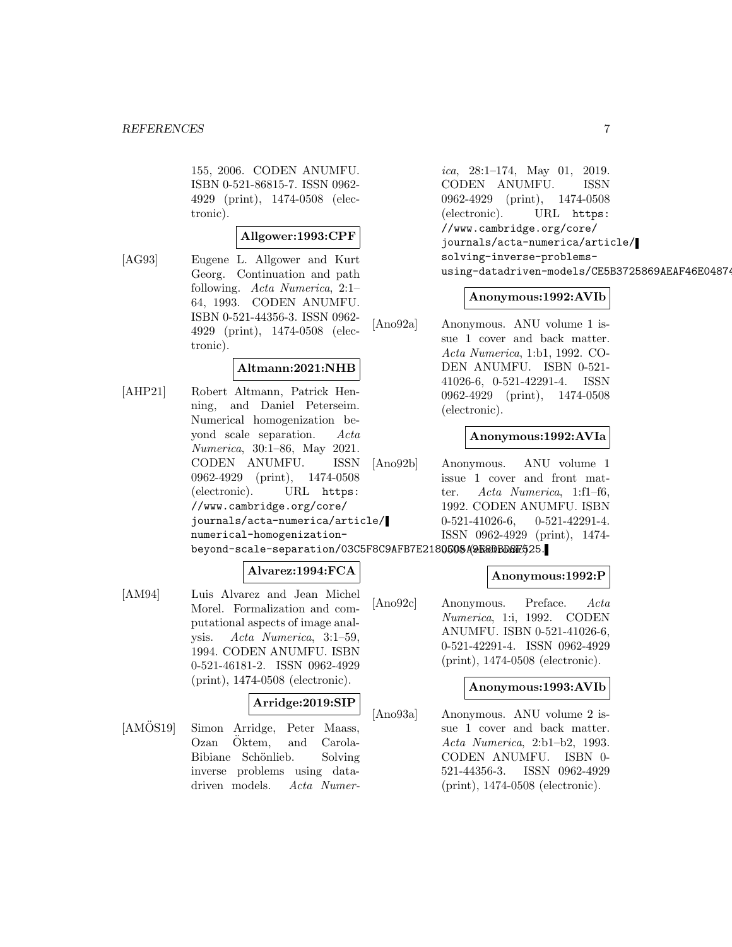155, 2006. CODEN ANUMFU. ISBN 0-521-86815-7. ISSN 0962- 4929 (print), 1474-0508 (electronic).

# **Allgower:1993:CPF**

[AG93] Eugene L. Allgower and Kurt Georg. Continuation and path following. Acta Numerica, 2:1– 64, 1993. CODEN ANUMFU. ISBN 0-521-44356-3. ISSN 0962- 4929 (print), 1474-0508 (electronic).

# **Altmann:2021:NHB**

[AHP21] Robert Altmann, Patrick Henning, and Daniel Peterseim. Numerical homogenization beyond scale separation. Acta Numerica, 30:1–86, May 2021. CODEN ANUMFU. ISSN 0962-4929 (print), 1474-0508 (electronic). URL https: //www.cambridge.org/core/ journals/acta-numerica/article/ numerical-homogenization-

#### **Alvarez:1994:FCA**

[AM94] Luis Alvarez and Jean Michel Morel. Formalization and computational aspects of image analysis. Acta Numerica, 3:1–59, 1994. CODEN ANUMFU. ISBN 0-521-46181-2. ISSN 0962-4929 (print), 1474-0508 (electronic).

#### **Arridge:2019:SIP**

[AMÖS19] Simon Arridge, Peter Maass, Ozan Öktem, and Carola-Bibiane Schönlieb. Solving inverse problems using datadriven models. Acta Numerica, 28:1–174, May 01, 2019. CODEN ANUMFU. ISSN 0962-4929 (print), 1474-0508 (electronic). URL https: //www.cambridge.org/core/ journals/acta-numerica/article/ solving-inverse-problemsusing-datadriven-models/CE5B3725869AEAF46E04874

#### **Anonymous:1992:AVIb**

[Ano92a] Anonymous. ANU volume 1 issue 1 cover and back matter. Acta Numerica, 1:b1, 1992. CO-DEN ANUMFU. ISBN 0-521- 41026-6, 0-521-42291-4. ISSN 0962-4929 (print), 1474-0508 (electronic).

# **Anonymous:1992:AVIa**

[Ano92b] Anonymous. ANU volume 1 issue 1 cover and front matter. Acta Numerica, 1:f1–f6, 1992. CODEN ANUMFU. ISBN 0-521-41026-6, 0-521-42291-4. ISSN 0962-4929 (print), 1474-

beyond-scale-separation/03C5F8C9AFB7E218**0508A@E8DBD8F**525.

#### **Anonymous:1992:P**

[Ano92c] Anonymous. Preface. Acta Numerica, 1:i, 1992. CODEN ANUMFU. ISBN 0-521-41026-6, 0-521-42291-4. ISSN 0962-4929 (print), 1474-0508 (electronic).

#### **Anonymous:1993:AVIb**

[Ano93a] Anonymous. ANU volume 2 issue 1 cover and back matter. Acta Numerica, 2:b1–b2, 1993. CODEN ANUMFU. ISBN 0- 521-44356-3. ISSN 0962-4929 (print), 1474-0508 (electronic).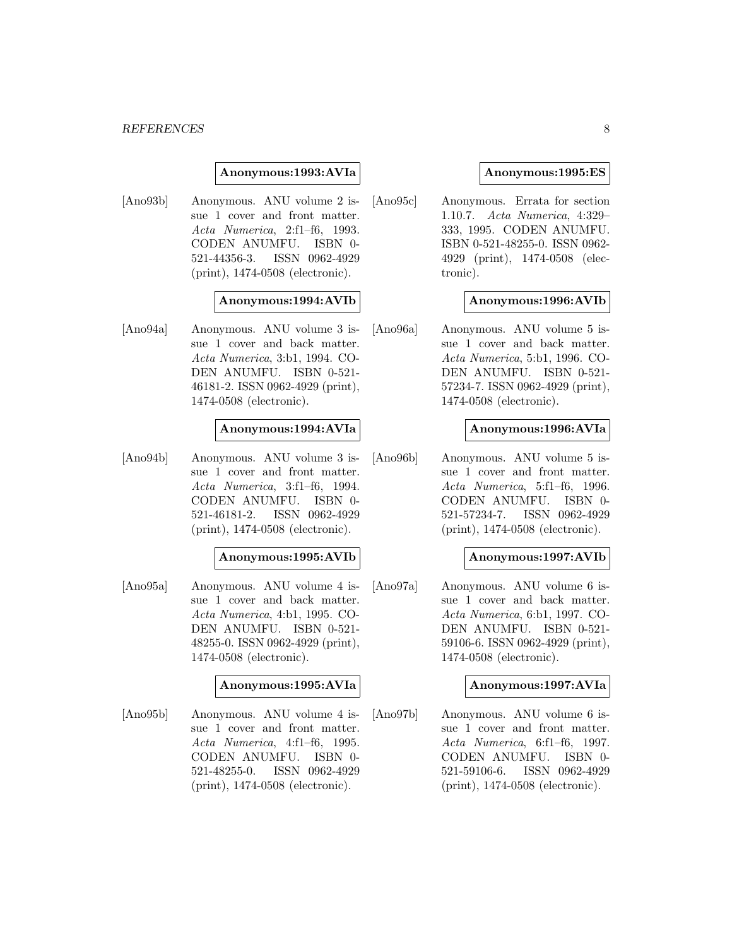#### *REFERENCES* 8

#### **Anonymous:1993:AVIa**

[Ano93b] Anonymous. ANU volume 2 issue 1 cover and front matter. Acta Numerica, 2:f1–f6, 1993. CODEN ANUMFU. ISBN 0- 521-44356-3. ISSN 0962-4929 (print), 1474-0508 (electronic).

#### **Anonymous:1994:AVIb**

[Ano94a] Anonymous. ANU volume 3 issue 1 cover and back matter. Acta Numerica, 3:b1, 1994. CO-DEN ANUMFU. ISBN 0-521- 46181-2. ISSN 0962-4929 (print), 1474-0508 (electronic).

#### **Anonymous:1994:AVIa**

[Ano94b] Anonymous. ANU volume 3 issue 1 cover and front matter. Acta Numerica, 3:f1–f6, 1994. CODEN ANUMFU. ISBN 0- 521-46181-2. ISSN 0962-4929 (print), 1474-0508 (electronic).

#### **Anonymous:1995:AVIb**

[Ano95a] Anonymous. ANU volume 4 issue 1 cover and back matter. Acta Numerica, 4:b1, 1995. CO-DEN ANUMFU. ISBN 0-521- 48255-0. ISSN 0962-4929 (print), 1474-0508 (electronic).

#### **Anonymous:1995:AVIa**

[Ano95b] Anonymous. ANU volume 4 issue 1 cover and front matter. Acta Numerica, 4:f1–f6, 1995. CODEN ANUMFU. ISBN 0- 521-48255-0. ISSN 0962-4929 (print), 1474-0508 (electronic).

#### **Anonymous:1995:ES**

[Ano95c] Anonymous. Errata for section 1.10.7. Acta Numerica, 4:329– 333, 1995. CODEN ANUMFU. ISBN 0-521-48255-0. ISSN 0962- 4929 (print), 1474-0508 (electronic).

# **Anonymous:1996:AVIb**

[Ano96a] Anonymous. ANU volume 5 issue 1 cover and back matter. Acta Numerica, 5:b1, 1996. CO-DEN ANUMFU. ISBN 0-521- 57234-7. ISSN 0962-4929 (print), 1474-0508 (electronic).

#### **Anonymous:1996:AVIa**

[Ano96b] Anonymous. ANU volume 5 issue 1 cover and front matter. Acta Numerica, 5:f1–f6, 1996. CODEN ANUMFU. ISBN 0- 521-57234-7. ISSN 0962-4929 (print), 1474-0508 (electronic).

#### **Anonymous:1997:AVIb**

[Ano97a] Anonymous. ANU volume 6 issue 1 cover and back matter. Acta Numerica, 6:b1, 1997. CO-DEN ANUMFU. ISBN 0-521- 59106-6. ISSN 0962-4929 (print), 1474-0508 (electronic).

#### **Anonymous:1997:AVIa**

[Ano97b] Anonymous. ANU volume 6 issue 1 cover and front matter. Acta Numerica, 6:f1–f6, 1997. CODEN ANUMFU. ISBN 0- 521-59106-6. ISSN 0962-4929 (print), 1474-0508 (electronic).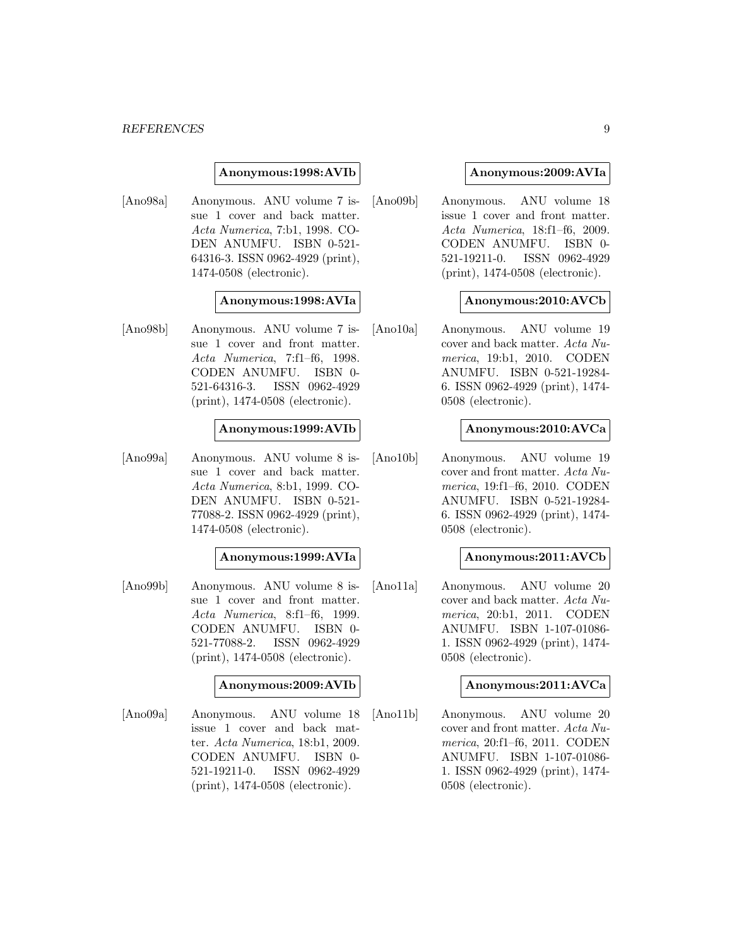#### *REFERENCES* 9

#### **Anonymous:1998:AVIb**

[Ano98a] Anonymous. ANU volume 7 issue 1 cover and back matter. Acta Numerica, 7:b1, 1998. CO-DEN ANUMFU. ISBN 0-521- 64316-3. ISSN 0962-4929 (print), 1474-0508 (electronic).

#### **Anonymous:1998:AVIa**

[Ano98b] Anonymous. ANU volume 7 issue 1 cover and front matter. Acta Numerica, 7:f1–f6, 1998. CODEN ANUMFU. ISBN 0- 521-64316-3. ISSN 0962-4929 (print), 1474-0508 (electronic).

#### **Anonymous:1999:AVIb**

[Ano99a] Anonymous. ANU volume 8 issue 1 cover and back matter. Acta Numerica, 8:b1, 1999. CO-DEN ANUMFU. ISBN 0-521- 77088-2. ISSN 0962-4929 (print), 1474-0508 (electronic).

#### **Anonymous:1999:AVIa**

[Ano99b] Anonymous. ANU volume 8 issue 1 cover and front matter. Acta Numerica, 8:f1–f6, 1999. CODEN ANUMFU. ISBN 0- 521-77088-2. ISSN 0962-4929 (print), 1474-0508 (electronic).

# **Anonymous:2009:AVIb**

[Ano09a] Anonymous. ANU volume 18 issue 1 cover and back matter. Acta Numerica, 18:b1, 2009. CODEN ANUMFU. ISBN 0- 521-19211-0. ISSN 0962-4929 (print), 1474-0508 (electronic).

#### **Anonymous:2009:AVIa**

[Ano09b] Anonymous. ANU volume 18 issue 1 cover and front matter. Acta Numerica, 18:f1–f6, 2009. CODEN ANUMFU. ISBN 0- 521-19211-0. ISSN 0962-4929 (print), 1474-0508 (electronic).

#### **Anonymous:2010:AVCb**

[Ano10a] Anonymous. ANU volume 19 cover and back matter. Acta Numerica, 19:b1, 2010. CODEN ANUMFU. ISBN 0-521-19284- 6. ISSN 0962-4929 (print), 1474- 0508 (electronic).

#### **Anonymous:2010:AVCa**

[Ano10b] Anonymous. ANU volume 19 cover and front matter. Acta Numerica, 19:f1–f6, 2010. CODEN ANUMFU. ISBN 0-521-19284- 6. ISSN 0962-4929 (print), 1474- 0508 (electronic).

#### **Anonymous:2011:AVCb**

[Ano11a] Anonymous. ANU volume 20 cover and back matter. Acta Numerica, 20:b1, 2011. CODEN ANUMFU. ISBN 1-107-01086- 1. ISSN 0962-4929 (print), 1474- 0508 (electronic).

# **Anonymous:2011:AVCa**

[Ano11b] Anonymous. ANU volume 20 cover and front matter. Acta Numerica, 20:f1–f6, 2011. CODEN ANUMFU. ISBN 1-107-01086- 1. ISSN 0962-4929 (print), 1474- 0508 (electronic).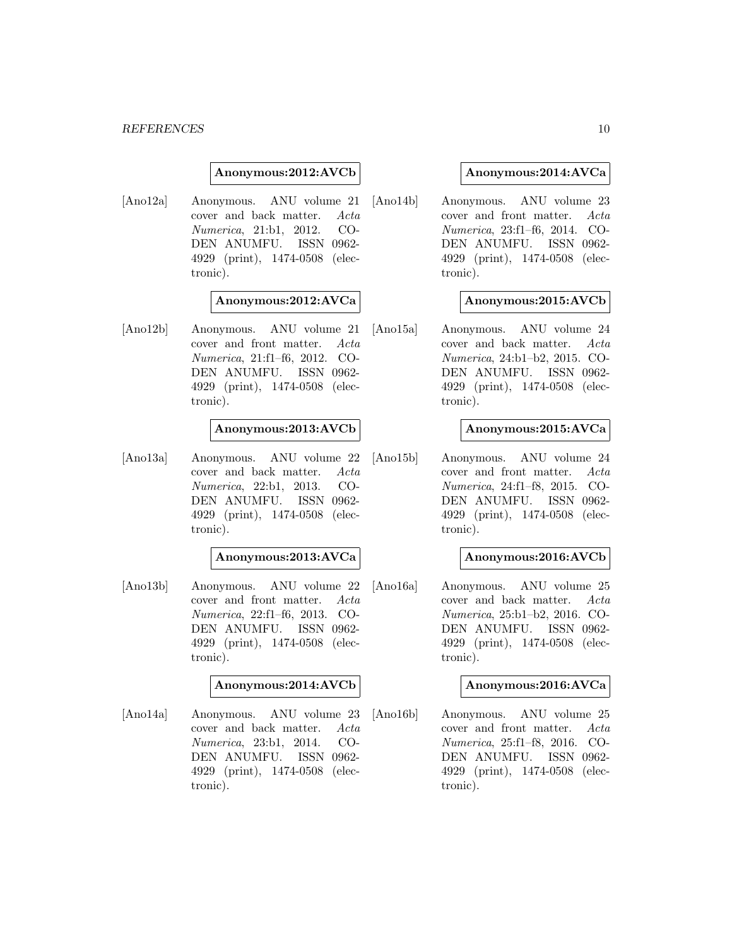#### **Anonymous:2012:AVCb**

[Ano12a] Anonymous. ANU volume 21 cover and back matter. Acta Numerica, 21:b1, 2012. CO-DEN ANUMFU. ISSN 0962- 4929 (print), 1474-0508 (electronic).

#### **Anonymous:2012:AVCa**

[Ano12b] Anonymous. ANU volume 21 cover and front matter. Acta Numerica, 21:f1–f6, 2012. CO-DEN ANUMFU. ISSN 0962- 4929 (print), 1474-0508 (electronic).

#### **Anonymous:2013:AVCb**

[Ano13a] Anonymous. ANU volume 22 cover and back matter. Acta Numerica, 22:b1, 2013. CO-DEN ANUMFU. ISSN 0962- 4929 (print), 1474-0508 (electronic).

#### **Anonymous:2013:AVCa**

[Ano13b] Anonymous. ANU volume 22 cover and front matter. Acta Numerica, 22:f1–f6, 2013. CO-DEN ANUMFU. ISSN 0962- 4929 (print), 1474-0508 (electronic).

#### **Anonymous:2014:AVCb**

[Ano14a] Anonymous. ANU volume 23 cover and back matter. Acta Numerica, 23:b1, 2014. CO-DEN ANUMFU. ISSN 0962- 4929 (print), 1474-0508 (electronic).

#### **Anonymous:2014:AVCa**

[Ano14b] Anonymous. ANU volume 23 cover and front matter. Acta Numerica, 23:f1–f6, 2014. CO-DEN ANUMFU. ISSN 0962- 4929 (print), 1474-0508 (electronic).

#### **Anonymous:2015:AVCb**

[Ano15a] Anonymous. ANU volume 24 cover and back matter. Acta Numerica, 24:b1–b2, 2015. CO-DEN ANUMFU. ISSN 0962- 4929 (print), 1474-0508 (electronic).

#### **Anonymous:2015:AVCa**

[Ano15b] Anonymous. ANU volume 24 cover and front matter. Acta Numerica, 24:f1–f8, 2015. CO-DEN ANUMFU. ISSN 0962- 4929 (print), 1474-0508 (electronic).

#### **Anonymous:2016:AVCb**

[Ano16a] Anonymous. ANU volume 25 cover and back matter. Acta Numerica, 25:b1–b2, 2016. CO-DEN ANUMFU. ISSN 0962- 4929 (print), 1474-0508 (electronic).

#### **Anonymous:2016:AVCa**

[Ano16b] Anonymous. ANU volume 25 cover and front matter. Acta Numerica, 25:f1–f8, 2016. CO-DEN ANUMFU. ISSN 0962- 4929 (print), 1474-0508 (electronic).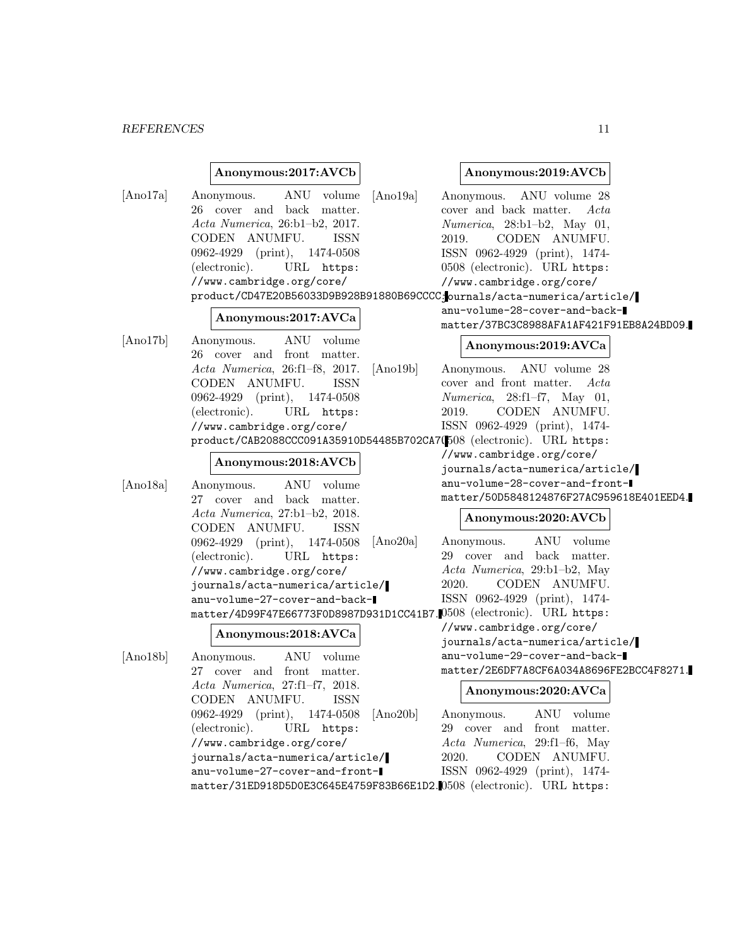# *REFERENCES* 11

# **Anonymous:2017:AVCb**

| [Ano17a] | ANU volume<br>[Ano19a]<br>Anonymous.<br>26 cover and back matter.<br>Acta Numerica, 26:b1-b2, 2017.<br>CODEN ANUMFU.<br>ISSN<br>0962-4929 (print), 1474-0508<br>(electronic).<br>URL https:<br>//www.cambridge.org/core/<br>product/CD47E20B56033D9B928B91880B69CCCC:ournals/acta-numerica/article/ | Anonymous. ANU volume 28<br>cover and back matter.<br>Acta<br>$Numerica$ , 28:b1-b2, May 01,<br>CODEN ANUMFU.<br>2019.<br>ISSN 0962-4929 (print), 1474-<br>0508 (electronic). URL https:<br>//www.cambridge.org/core/<br>anu-volume-28-cover-and-back- |
|----------|-----------------------------------------------------------------------------------------------------------------------------------------------------------------------------------------------------------------------------------------------------------------------------------------------------|--------------------------------------------------------------------------------------------------------------------------------------------------------------------------------------------------------------------------------------------------------|
|          | Anonymous:2017:AVCa                                                                                                                                                                                                                                                                                 | matter/37BC3C8988AFA1AF421F91EB8A24BD09.                                                                                                                                                                                                               |
| [Ano17b] | ANU volume<br>Anonymous.<br>26 cover and front matter.<br>Acta Numerica, 26:f1-f8, 2017.<br>[Ano19b]                                                                                                                                                                                                | Anonymous:2019:AVCa<br>Anonymous. ANU volume 28                                                                                                                                                                                                        |
|          | CODEN ANUMFU.<br><b>ISSN</b>                                                                                                                                                                                                                                                                        | cover and front matter.<br>Acta                                                                                                                                                                                                                        |
|          | 0962-4929 (print), 1474-0508                                                                                                                                                                                                                                                                        | $Numerica$ , 28:f1-f7, May 01,                                                                                                                                                                                                                         |
|          | (electronic).<br>URL https:                                                                                                                                                                                                                                                                         | CODEN ANUMFU.<br>2019.                                                                                                                                                                                                                                 |
|          | //www.cambridge.org/core/                                                                                                                                                                                                                                                                           | ISSN 0962-4929 (print), 1474-                                                                                                                                                                                                                          |
|          | product/CAB2088CCC091A35910D54485B702CA7(508 (electronic). URL https:                                                                                                                                                                                                                               |                                                                                                                                                                                                                                                        |
|          |                                                                                                                                                                                                                                                                                                     | //www.cambridge.org/core/                                                                                                                                                                                                                              |
|          | Anonymous:2018:AVCb                                                                                                                                                                                                                                                                                 | journals/acta-numerica/article/                                                                                                                                                                                                                        |
| [Ano18a] | ANU volume<br>Anonymous.                                                                                                                                                                                                                                                                            | anu-volume-28-cover-and-front-                                                                                                                                                                                                                         |
|          | 27 cover and back matter.                                                                                                                                                                                                                                                                           | matter/50D5848124876F27AC959618E401EED4.                                                                                                                                                                                                               |
|          | Acta Numerica, 27:b1-b2, 2018.<br>CODEN ANUMFU.<br><b>ISSN</b>                                                                                                                                                                                                                                      | Anonymous:2020:AVCb                                                                                                                                                                                                                                    |
|          | 0962-4929 (print), 1474-0508<br>[Ano20a]                                                                                                                                                                                                                                                            | ANU volume<br>Anonymous.                                                                                                                                                                                                                               |
|          | (electronic).<br>URL https:                                                                                                                                                                                                                                                                         | 29 cover and back matter.                                                                                                                                                                                                                              |
|          | //www.cambridge.org/core/                                                                                                                                                                                                                                                                           | Acta Numerica, 29:b1-b2, May                                                                                                                                                                                                                           |
|          | journals/acta-numerica/article/                                                                                                                                                                                                                                                                     | CODEN ANUMFU.<br>2020.                                                                                                                                                                                                                                 |
|          | anu-volume-27-cover-and-back-                                                                                                                                                                                                                                                                       | ISSN 0962-4929 (print), 1474-                                                                                                                                                                                                                          |
|          | matter/4D99F47E66773F0D8987D931D1CC41B7.0508 (electronic). URL https:                                                                                                                                                                                                                               |                                                                                                                                                                                                                                                        |
|          | Anonymous:2018:AVCa                                                                                                                                                                                                                                                                                 | //www.cambridge.org/core/<br>journals/acta-numerica/article/                                                                                                                                                                                           |
| [Ano18b] | ANU volume<br>Anonymous.                                                                                                                                                                                                                                                                            | anu-volume-29-cover-and-back-                                                                                                                                                                                                                          |
|          | 27 cover and front matter.                                                                                                                                                                                                                                                                          | matter/2E6DF7A8CF6A034A8696FE2BCC4F8271.                                                                                                                                                                                                               |
|          | $Acta\; Numerica,\;27: f1-f7,\;2018.$                                                                                                                                                                                                                                                               | Anonymous:2020:AVCa                                                                                                                                                                                                                                    |
|          | CODEN ANUMFU.<br><b>ISSN</b>                                                                                                                                                                                                                                                                        |                                                                                                                                                                                                                                                        |
|          | $0962-4929$ (print),<br>1474-0508<br>[Ano20b]                                                                                                                                                                                                                                                       | Anonymous.<br>ANU volume                                                                                                                                                                                                                               |
|          | (electronic).<br>URL https:                                                                                                                                                                                                                                                                         | 29 cover and front matter.                                                                                                                                                                                                                             |
|          | //www.cambridge.org/core/                                                                                                                                                                                                                                                                           | Acta Numerica, 29:f1-f6, May                                                                                                                                                                                                                           |
|          | journals/acta-numerica/article/                                                                                                                                                                                                                                                                     | 2020.<br>CODEN ANUMFU.                                                                                                                                                                                                                                 |
|          | anu-volume-27-cover-and-front-                                                                                                                                                                                                                                                                      | ISSN 0962-4929 (print), 1474-                                                                                                                                                                                                                          |
|          | matter/31ED918D5D0E3C645E4759F83B66E1D2.0508 (electronic). URL https:                                                                                                                                                                                                                               |                                                                                                                                                                                                                                                        |

**Anonymous:2019:AVCb**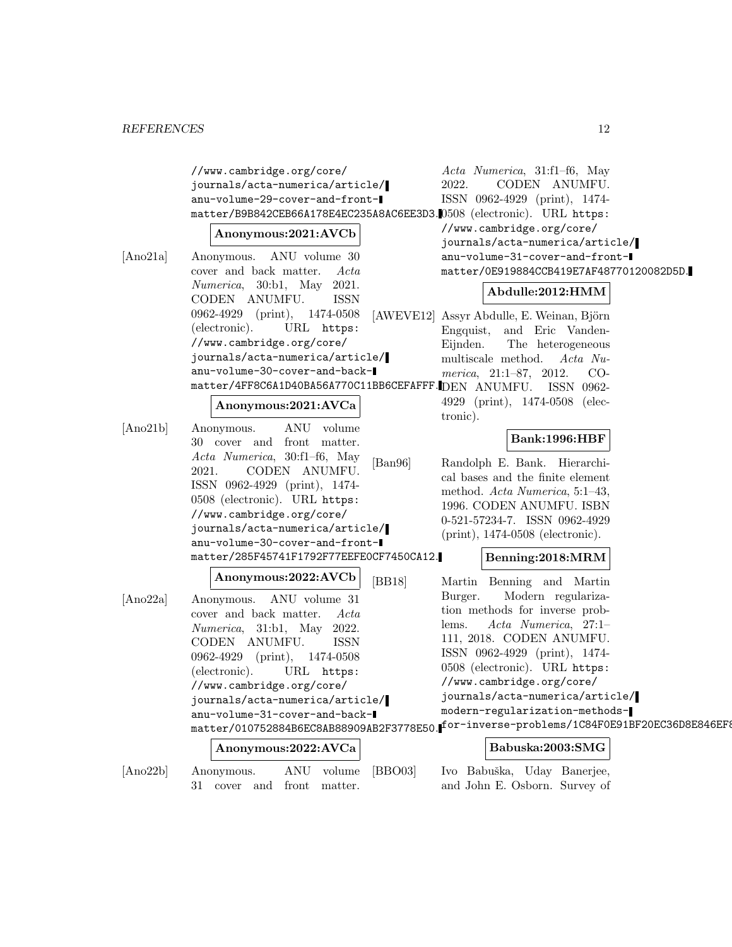//www.cambridge.org/core/ journals/acta-numerica/article/ anu-volume-29-cover-and-frontmatter/B9B842CEB66A178E4EC235A8AC6EE3D3. 0508 (electronic). URL https:

#### **Anonymous:2021:AVCb**

[Ano21a] Anonymous. ANU volume 30 cover and back matter. Acta Numerica, 30:b1, May 2021. CODEN ANUMFU. ISSN 0962-4929 (print), 1474-0508 (electronic). URL https: //www.cambridge.org/core/ journals/acta-numerica/article/ anu-volume-30-cover-and-backmatter/4FF8C6A1D40BA56A770C11BB6CEFAFFF. DEN ANUMFU. ISSN 0962-

#### **Anonymous:2021:AVCa**

[Ano21b] Anonymous. ANU volume 30 cover and front matter. Acta Numerica, 30:f1–f6, May 2021. CODEN ANUMFU. ISSN 0962-4929 (print), 1474- 0508 (electronic). URL https: //www.cambridge.org/core/ journals/acta-numerica/article/ anu-volume-30-cover-and-frontmatter/285F45741F1792F77EEFE0CF7450CA12.

# **Anonymous:2022:AVCb** [Ano22a] Anonymous. ANU volume 31 cover and back matter. Acta

Numerica, 31:b1, May 2022. CODEN ANUMFU. ISSN 0962-4929 (print), 1474-0508 (electronic). URL https: //www.cambridge.org/core/ journals/acta-numerica/article/ anu-volume-31-cover-and-backmatter/010752884B6EC8AB88909AB2F3778E50.

# **Anonymous:2022:AVCa**

[Ano22b] Anonymous. ANU volume 31 cover and front matter.

Acta Numerica, 31:f1–f6, May 2022. CODEN ANUMFU. ISSN 0962-4929 (print), 1474- //www.cambridge.org/core/ journals/acta-numerica/article/ anu-volume-31-cover-and-frontmatter/0E919884CCB419E7AF48770120082D5D.

#### **Abdulle:2012:HMM**

[AWEVE12] Assyr Abdulle, E. Weinan, Björn Engquist, and Eric Vanden-Eijnden. The heterogeneous multiscale method. Acta Numerica, 21:1–87, 2012. CO-

> 4929 (print), 1474-0508 (electronic).

# **Bank:1996:HBF**

[Ban96] Randolph E. Bank. Hierarchical bases and the finite element method. Acta Numerica, 5:1–43, 1996. CODEN ANUMFU. ISBN 0-521-57234-7. ISSN 0962-4929 (print), 1474-0508 (electronic).

#### **Benning:2018:MRM**

[BB18] Martin Benning and Martin Burger. Modern regularization methods for inverse problems. Acta Numerica, 27:1– 111, 2018. CODEN ANUMFU. ISSN 0962-4929 (print), 1474- 0508 (electronic). URL https: //www.cambridge.org/core/ journals/acta-numerica/article/ modern-regularization-methodsfor-inverse-problems/1C84F0E91BF20EC36D8E846EF8

#### **Babuska:2003:SMG**

[BBO03] Ivo Babuška, Uday Banerjee, and John E. Osborn. Survey of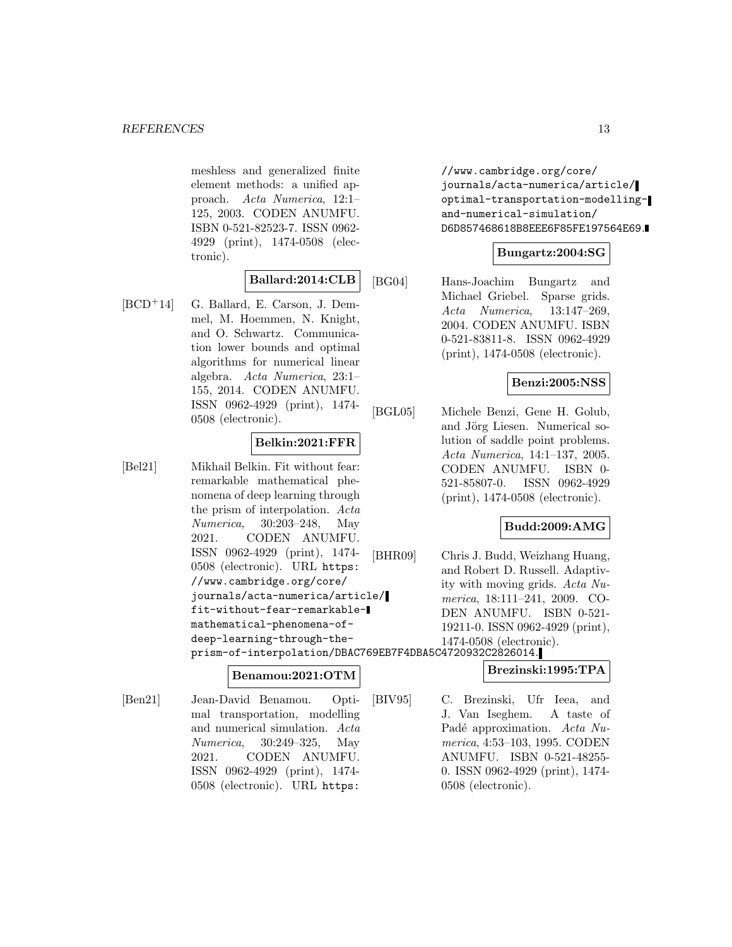meshless and generalized finite element methods: a unified approach. Acta Numerica, 12:1– 125, 2003. CODEN ANUMFU. ISBN 0-521-82523-7. ISSN 0962- 4929 (print), 1474-0508 (electronic).

# **Ballard:2014:CLB**

[BCD<sup>+</sup>14] G. Ballard, E. Carson, J. Demmel, M. Hoemmen, N. Knight, and O. Schwartz. Communication lower bounds and optimal algorithms for numerical linear algebra. Acta Numerica, 23:1– 155, 2014. CODEN ANUMFU. ISSN 0962-4929 (print), 1474- 0508 (electronic).

# **Belkin:2021:FFR**

[Bel21] Mikhail Belkin. Fit without fear: remarkable mathematical phenomena of deep learning through the prism of interpolation. Acta Numerica, 30:203–248, May 2021. CODEN ANUMFU. ISSN 0962-4929 (print), 1474- 0508 (electronic). URL https: //www.cambridge.org/core/ journals/acta-numerica/article/ fit-without-fear-remarkablemathematical-phenomena-ofdeep-learning-through-theprism-of-interpolation/DBAC769EB7F4DBA5C4720932C2826014.

#### **Benamou:2021:OTM**

[Ben21] Jean-David Benamou. Optimal transportation, modelling and numerical simulation. Acta Numerica, 30:249–325, May 2021. CODEN ANUMFU. ISSN 0962-4929 (print), 1474- 0508 (electronic). URL https:

//www.cambridge.org/core/ journals/acta-numerica/article/ optimal-transportation-modellingand-numerical-simulation/ D6D857468618B8EEE6F85FE197564E69.

# **Bungartz:2004:SG**

[BG04] Hans-Joachim Bungartz and Michael Griebel. Sparse grids. Acta Numerica, 13:147–269, 2004. CODEN ANUMFU. ISBN 0-521-83811-8. ISSN 0962-4929 (print), 1474-0508 (electronic).

# **Benzi:2005:NSS**

[BGL05] Michele Benzi, Gene H. Golub, and Jörg Liesen. Numerical solution of saddle point problems. Acta Numerica, 14:1–137, 2005. CODEN ANUMFU. ISBN 0- 521-85807-0. ISSN 0962-4929 (print), 1474-0508 (electronic).

# **Budd:2009:AMG**

[BHR09] Chris J. Budd, Weizhang Huang, and Robert D. Russell. Adaptivity with moving grids. Acta Numerica, 18:111–241, 2009. CO-DEN ANUMFU. ISBN 0-521- 19211-0. ISSN 0962-4929 (print), 1474-0508 (electronic).

# **Brezinski:1995:TPA**

[BIV95] C. Brezinski, Ufr Ieea, and J. Van Iseghem. A taste of Padé approximation. Acta Numerica, 4:53–103, 1995. CODEN ANUMFU. ISBN 0-521-48255- 0. ISSN 0962-4929 (print), 1474- 0508 (electronic).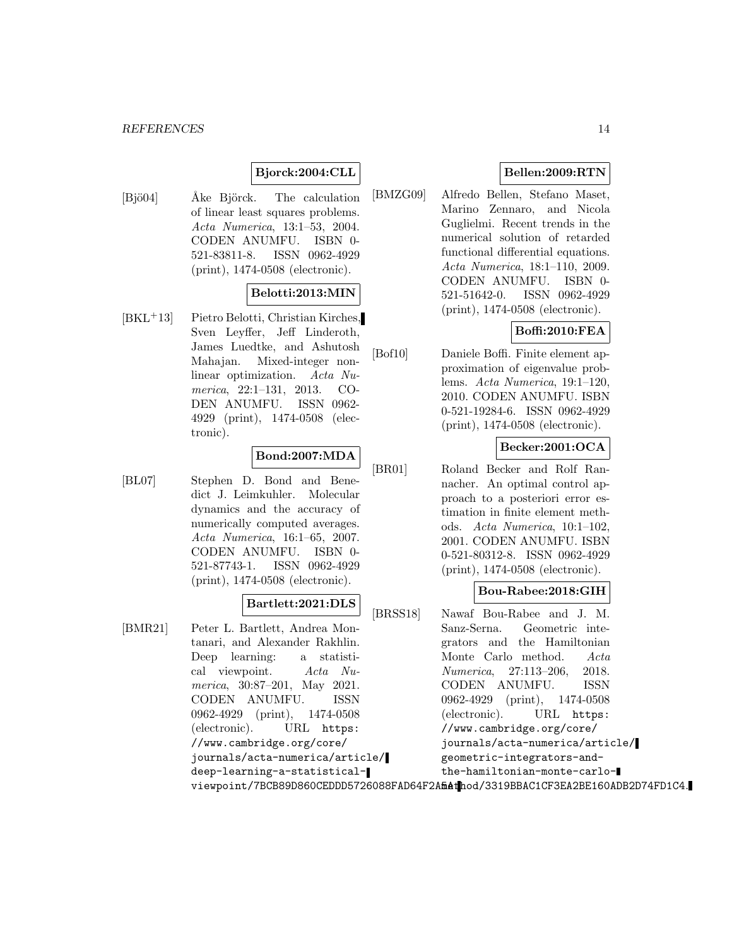# **Bjorck:2004:CLL**

[Bjö04] • Åke Björck. The calculation of linear least squares problems. Acta Numerica, 13:1–53, 2004. CODEN ANUMFU. ISBN 0- 521-83811-8. ISSN 0962-4929 (print), 1474-0508 (electronic).

# **Belotti:2013:MIN**

[BKL<sup>+</sup>13] Pietro Belotti, Christian Kirches, Sven Leyffer, Jeff Linderoth, James Luedtke, and Ashutosh Mahajan. Mixed-integer nonlinear optimization. Acta Numerica, 22:1–131, 2013. CO-DEN ANUMFU. ISSN 0962- 4929 (print), 1474-0508 (electronic).

# **Bond:2007:MDA**

[BL07] Stephen D. Bond and Benedict J. Leimkuhler. Molecular dynamics and the accuracy of numerically computed averages. Acta Numerica, 16:1–65, 2007. CODEN ANUMFU. ISBN 0- 521-87743-1. ISSN 0962-4929 (print), 1474-0508 (electronic).

#### **Bartlett:2021:DLS**

[BMR21] Peter L. Bartlett, Andrea Montanari, and Alexander Rakhlin. Deep learning: a statistical viewpoint. Acta Numerica, 30:87–201, May 2021. CODEN ANUMFU. ISSN 0962-4929 (print), 1474-0508 (electronic). URL https: //www.cambridge.org/core/ journals/acta-numerica/article/ deep-learning-a-statisticalviewpoint/7BCB89D860CEDDD5726088FAD64F2A**fiAth**od/3319BBAC1CF3EA2BE160ADB2D74FD1C4.

# **Bellen:2009:RTN**

[BMZG09] Alfredo Bellen, Stefano Maset, Marino Zennaro, and Nicola Guglielmi. Recent trends in the numerical solution of retarded functional differential equations. Acta Numerica, 18:1–110, 2009. CODEN ANUMFU. ISBN 0- 521-51642-0. ISSN 0962-4929 (print), 1474-0508 (electronic).

# **Boffi:2010:FEA**

[Bof10] Daniele Boffi. Finite element approximation of eigenvalue problems. Acta Numerica, 19:1–120, 2010. CODEN ANUMFU. ISBN 0-521-19284-6. ISSN 0962-4929 (print), 1474-0508 (electronic).

# **Becker:2001:OCA**

[BR01] Roland Becker and Rolf Rannacher. An optimal control approach to a posteriori error estimation in finite element methods. Acta Numerica, 10:1–102, 2001. CODEN ANUMFU. ISBN 0-521-80312-8. ISSN 0962-4929 (print), 1474-0508 (electronic).

# **Bou-Rabee:2018:GIH**

[BRSS18] Nawaf Bou-Rabee and J. M. Sanz-Serna. Geometric integrators and the Hamiltonian Monte Carlo method. Acta Numerica, 27:113–206, 2018. CODEN ANUMFU. ISSN 0962-4929 (print), 1474-0508 (electronic). URL https: //www.cambridge.org/core/ journals/acta-numerica/article/ geometric-integrators-andthe-hamiltonian-monte-carlo-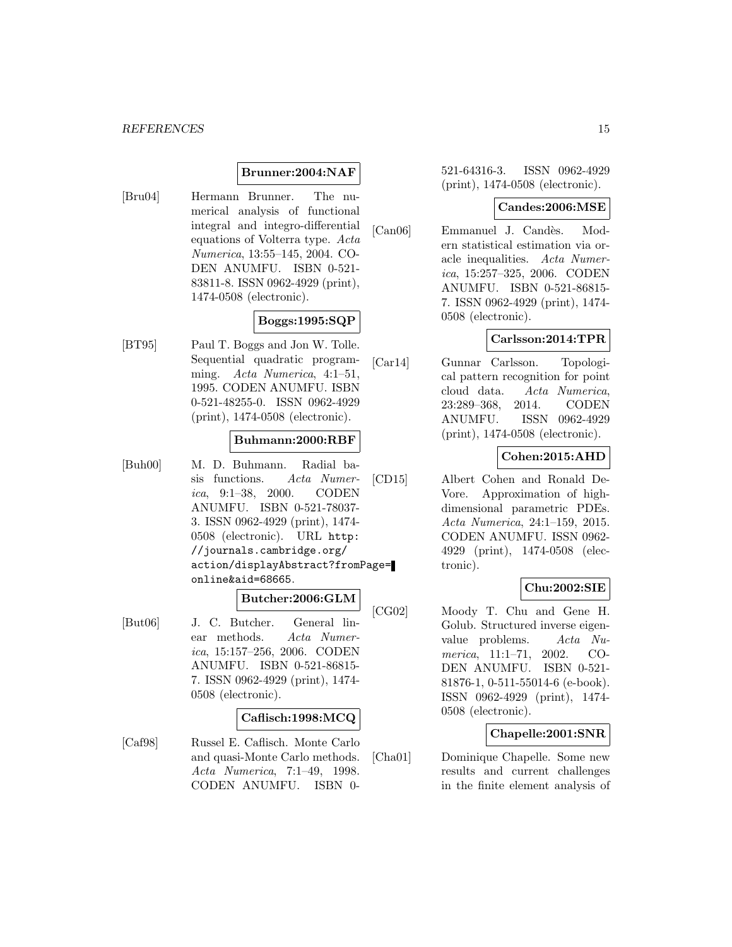#### **Brunner:2004:NAF**

[Bru04] Hermann Brunner. The numerical analysis of functional integral and integro-differential equations of Volterra type. Acta Numerica, 13:55–145, 2004. CO-DEN ANUMFU. ISBN 0-521- 83811-8. ISSN 0962-4929 (print), 1474-0508 (electronic).

# **Boggs:1995:SQP**

[BT95] Paul T. Boggs and Jon W. Tolle. Sequential quadratic programming. Acta Numerica, 4:1–51, 1995. CODEN ANUMFU. ISBN 0-521-48255-0. ISSN 0962-4929 (print), 1474-0508 (electronic).

#### **Buhmann:2000:RBF**

[Buh00] M. D. Buhmann. Radial basis functions. Acta Numerica, 9:1–38, 2000. CODEN ANUMFU. ISBN 0-521-78037- 3. ISSN 0962-4929 (print), 1474- 0508 (electronic). URL http: //journals.cambridge.org/ action/displayAbstract?fromPage= online&aid=68665.

# **Butcher:2006:GLM**

[But06] J. C. Butcher. General linear methods. Acta Numerica, 15:157–256, 2006. CODEN ANUMFU. ISBN 0-521-86815- 7. ISSN 0962-4929 (print), 1474- 0508 (electronic).

#### **Caflisch:1998:MCQ**

[Caf98] Russel E. Caflisch. Monte Carlo and quasi-Monte Carlo methods. Acta Numerica, 7:1–49, 1998. CODEN ANUMFU. ISBN 0521-64316-3. ISSN 0962-4929 (print), 1474-0508 (electronic).

#### **Candes:2006:MSE**

[Can06] Emmanuel J. Candès. Modern statistical estimation via oracle inequalities. Acta Numerica, 15:257–325, 2006. CODEN ANUMFU. ISBN 0-521-86815- 7. ISSN 0962-4929 (print), 1474- 0508 (electronic).

# **Carlsson:2014:TPR**

[Car14] Gunnar Carlsson. Topological pattern recognition for point cloud data. Acta Numerica, 23:289–368, 2014. CODEN ANUMFU. ISSN 0962-4929 (print), 1474-0508 (electronic).

# **Cohen:2015:AHD**

[CD15] Albert Cohen and Ronald De-Vore. Approximation of highdimensional parametric PDEs. Acta Numerica, 24:1–159, 2015. CODEN ANUMFU. ISSN 0962- 4929 (print), 1474-0508 (electronic).

#### **Chu:2002:SIE**

[CG02] Moody T. Chu and Gene H. Golub. Structured inverse eigenvalue problems. Acta Numerica, 11:1–71, 2002. CO-DEN ANUMFU. ISBN 0-521- 81876-1, 0-511-55014-6 (e-book). ISSN 0962-4929 (print), 1474- 0508 (electronic).

#### **Chapelle:2001:SNR**

[Cha01] Dominique Chapelle. Some new results and current challenges in the finite element analysis of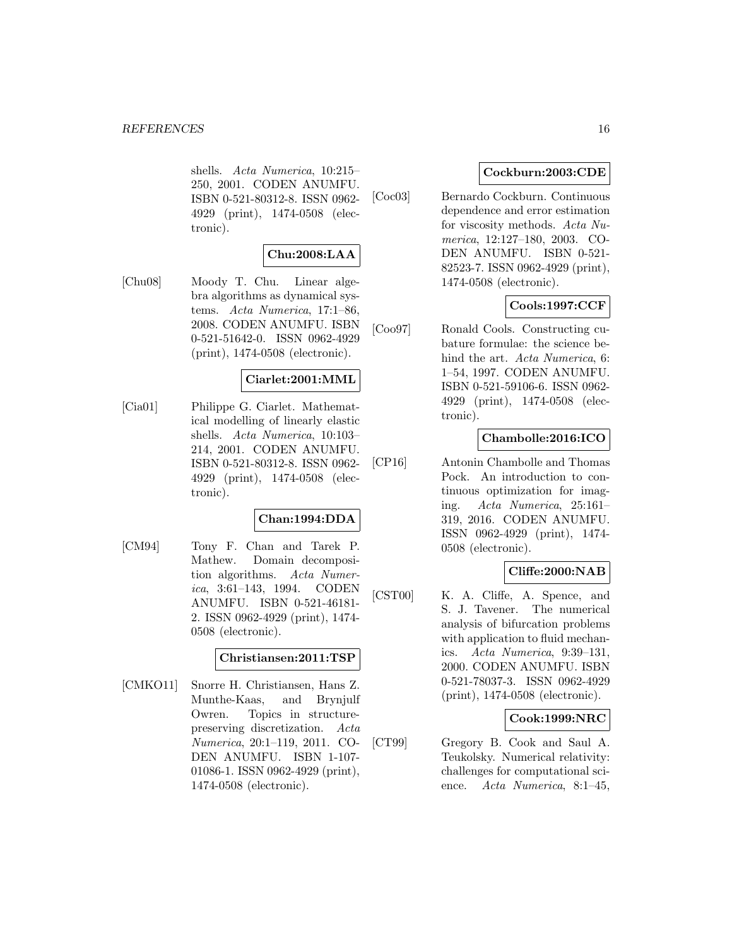shells. Acta Numerica, 10:215– 250, 2001. CODEN ANUMFU. ISBN 0-521-80312-8. ISSN 0962- 4929 (print), 1474-0508 (electronic).

# **Chu:2008:LAA**

[Chu08] Moody T. Chu. Linear algebra algorithms as dynamical systems. Acta Numerica, 17:1–86, 2008. CODEN ANUMFU. ISBN 0-521-51642-0. ISSN 0962-4929 (print), 1474-0508 (electronic).

# **Ciarlet:2001:MML**

[Cia01] Philippe G. Ciarlet. Mathematical modelling of linearly elastic shells. Acta Numerica, 10:103– 214, 2001. CODEN ANUMFU. ISBN 0-521-80312-8. ISSN 0962- 4929 (print), 1474-0508 (electronic).

# **Chan:1994:DDA**

[CM94] Tony F. Chan and Tarek P. Mathew. Domain decomposition algorithms. Acta Numerica, 3:61–143, 1994. CODEN ANUMFU. ISBN 0-521-46181- 2. ISSN 0962-4929 (print), 1474- 0508 (electronic).

# **Christiansen:2011:TSP**

[CMKO11] Snorre H. Christiansen, Hans Z. Munthe-Kaas, and Brynjulf Owren. Topics in structurepreserving discretization. Acta Numerica, 20:1–119, 2011. CO-DEN ANUMFU. ISBN 1-107- 01086-1. ISSN 0962-4929 (print), 1474-0508 (electronic).

# **Cockburn:2003:CDE**

[Coc03] Bernardo Cockburn. Continuous dependence and error estimation for viscosity methods. Acta Numerica, 12:127–180, 2003. CO-DEN ANUMFU. ISBN 0-521- 82523-7. ISSN 0962-4929 (print), 1474-0508 (electronic).

# **Cools:1997:CCF**

[Coo97] Ronald Cools. Constructing cubature formulae: the science behind the art. Acta Numerica, 6: 1–54, 1997. CODEN ANUMFU. ISBN 0-521-59106-6. ISSN 0962- 4929 (print), 1474-0508 (electronic).

# **Chambolle:2016:ICO**

[CP16] Antonin Chambolle and Thomas Pock. An introduction to continuous optimization for imaging. Acta Numerica, 25:161– 319, 2016. CODEN ANUMFU. ISSN 0962-4929 (print), 1474- 0508 (electronic).

# **Cliffe:2000:NAB**

[CST00] K. A. Cliffe, A. Spence, and S. J. Tavener. The numerical analysis of bifurcation problems with application to fluid mechanics. Acta Numerica, 9:39–131, 2000. CODEN ANUMFU. ISBN 0-521-78037-3. ISSN 0962-4929 (print), 1474-0508 (electronic).

#### **Cook:1999:NRC**

[CT99] Gregory B. Cook and Saul A. Teukolsky. Numerical relativity: challenges for computational science. Acta Numerica, 8:1–45,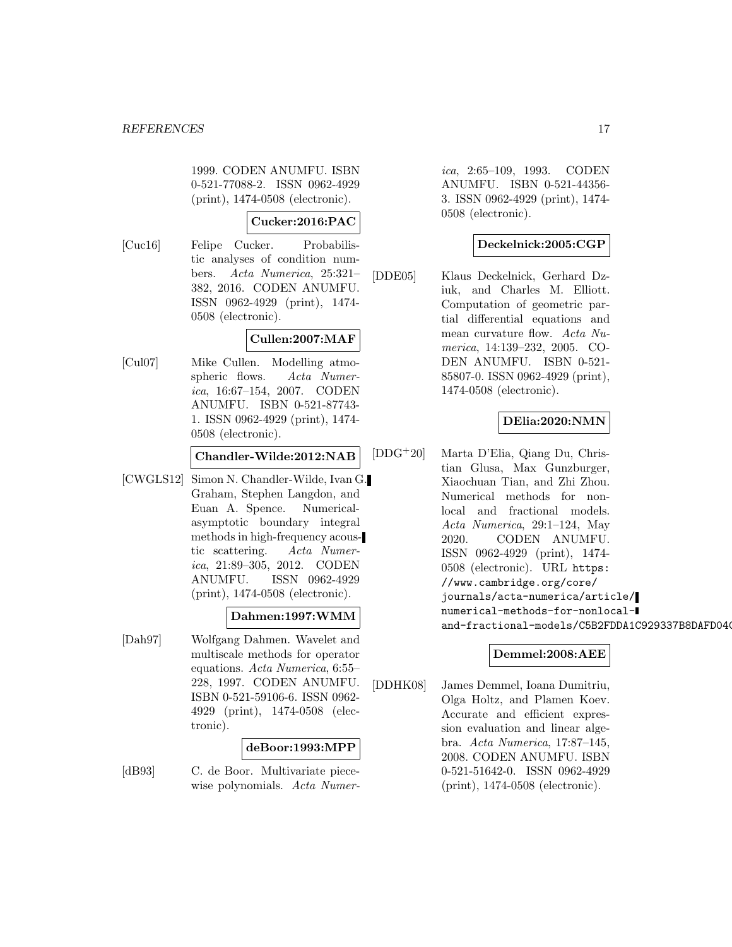1999. CODEN ANUMFU. ISBN 0-521-77088-2. ISSN 0962-4929 (print), 1474-0508 (electronic).

# **Cucker:2016:PAC**

[Cuc16] Felipe Cucker. Probabilistic analyses of condition numbers. Acta Numerica, 25:321– 382, 2016. CODEN ANUMFU. ISSN 0962-4929 (print), 1474- 0508 (electronic).

# **Cullen:2007:MAF**

[Cul07] Mike Cullen. Modelling atmospheric flows. Acta Numerica, 16:67–154, 2007. CODEN ANUMFU. ISBN 0-521-87743- 1. ISSN 0962-4929 (print), 1474- 0508 (electronic).

**Chandler-Wilde:2012:NAB**

[CWGLS12] Simon N. Chandler-Wilde, Ivan G. Graham, Stephen Langdon, and Euan A. Spence. Numericalasymptotic boundary integral methods in high-frequency acoustic scattering. Acta Numerica, 21:89–305, 2012. CODEN ANUMFU. ISSN 0962-4929 (print), 1474-0508 (electronic).

#### **Dahmen:1997:WMM**

[Dah97] Wolfgang Dahmen. Wavelet and multiscale methods for operator equations. Acta Numerica, 6:55– 228, 1997. CODEN ANUMFU. ISBN 0-521-59106-6. ISSN 0962- 4929 (print), 1474-0508 (electronic).

#### **deBoor:1993:MPP**

[dB93] C. de Boor. Multivariate piecewise polynomials. Acta Numer-

ica, 2:65–109, 1993. CODEN ANUMFU. ISBN 0-521-44356- 3. ISSN 0962-4929 (print), 1474- 0508 (electronic).

# **Deckelnick:2005:CGP**

[DDE05] Klaus Deckelnick, Gerhard Dziuk, and Charles M. Elliott. Computation of geometric partial differential equations and mean curvature flow. Acta Numerica, 14:139–232, 2005. CO-DEN ANUMFU. ISBN 0-521- 85807-0. ISSN 0962-4929 (print), 1474-0508 (electronic).

# **DElia:2020:NMN**

[DDG<sup>+</sup>20] Marta D'Elia, Qiang Du, Christian Glusa, Max Gunzburger, Xiaochuan Tian, and Zhi Zhou. Numerical methods for nonlocal and fractional models. Acta Numerica, 29:1–124, May 2020. CODEN ANUMFU. ISSN 0962-4929 (print), 1474- 0508 (electronic). URL https: //www.cambridge.org/core/ journals/acta-numerica/article/ numerical-methods-for-nonlocaland-fractional-models/C5B2FDDA1C929337B8DAFD04C

# **Demmel:2008:AEE**

[DDHK08] James Demmel, Ioana Dumitriu, Olga Holtz, and Plamen Koev. Accurate and efficient expression evaluation and linear algebra. Acta Numerica, 17:87–145, 2008. CODEN ANUMFU. ISBN 0-521-51642-0. ISSN 0962-4929 (print), 1474-0508 (electronic).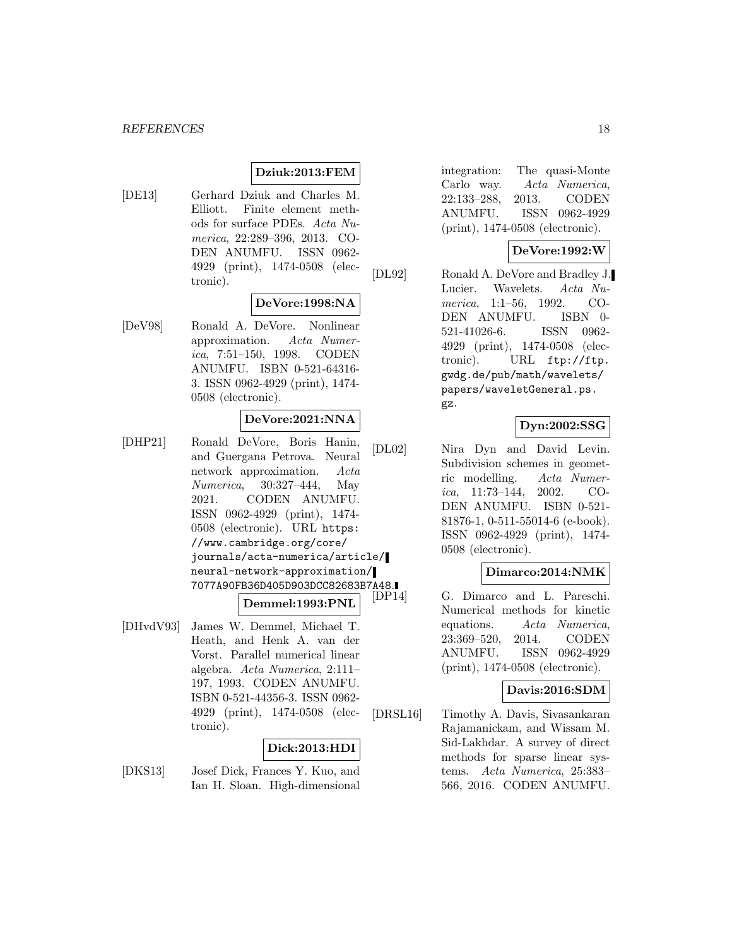# **Dziuk:2013:FEM**

[DE13] Gerhard Dziuk and Charles M. Elliott. Finite element methods for surface PDEs. Acta Numerica, 22:289–396, 2013. CO-DEN ANUMFU. ISSN 0962- 4929 (print), 1474-0508 (electronic).

# **DeVore:1998:NA**

[DeV98] Ronald A. DeVore. Nonlinear approximation. Acta Numerica, 7:51–150, 1998. CODEN ANUMFU. ISBN 0-521-64316- 3. ISSN 0962-4929 (print), 1474- 0508 (electronic).

#### **DeVore:2021:NNA**

- [DHP21] Ronald DeVore, Boris Hanin, and Guergana Petrova. Neural network approximation. Acta Numerica, 30:327–444, May 2021. CODEN ANUMFU. ISSN 0962-4929 (print), 1474- 0508 (electronic). URL https: //www.cambridge.org/core/ journals/acta-numerica/article/ neural-network-approximation/ 7077A90FB36D405D903DCC82683B7A48. **Demmel:1993:PNL**
- [DHvdV93] James W. Demmel, Michael T. Heath, and Henk A. van der Vorst. Parallel numerical linear algebra. Acta Numerica, 2:111– 197, 1993. CODEN ANUMFU. ISBN 0-521-44356-3. ISSN 0962- 4929 (print), 1474-0508 (electronic).

# **Dick:2013:HDI**

[DKS13] Josef Dick, Frances Y. Kuo, and Ian H. Sloan. High-dimensional

integration: The quasi-Monte Carlo way. Acta Numerica, 22:133–288, 2013. CODEN ANUMFU. ISSN 0962-4929 (print), 1474-0508 (electronic).

# **DeVore:1992:W**

[DL92] Ronald A. DeVore and Bradley J. Lucier. Wavelets. Acta Numerica, 1:1–56, 1992. CO-DEN ANUMFU. ISBN 0- 521-41026-6. ISSN 0962- 4929 (print), 1474-0508 (electronic). URL ftp://ftp. gwdg.de/pub/math/wavelets/ papers/waveletGeneral.ps. gz.

#### **Dyn:2002:SSG**

[DL02] Nira Dyn and David Levin. Subdivision schemes in geometric modelling. Acta Numerica, 11:73–144, 2002. CO-DEN ANUMFU. ISBN 0-521- 81876-1, 0-511-55014-6 (e-book). ISSN 0962-4929 (print), 1474- 0508 (electronic).

#### **Dimarco:2014:NMK**

G. Dimarco and L. Pareschi. Numerical methods for kinetic equations. Acta Numerica, 23:369–520, 2014. CODEN ANUMFU. ISSN 0962-4929 (print), 1474-0508 (electronic).

#### **Davis:2016:SDM**

[DRSL16] Timothy A. Davis, Sivasankaran Rajamanickam, and Wissam M. Sid-Lakhdar. A survey of direct methods for sparse linear systems. Acta Numerica, 25:383– 566, 2016. CODEN ANUMFU.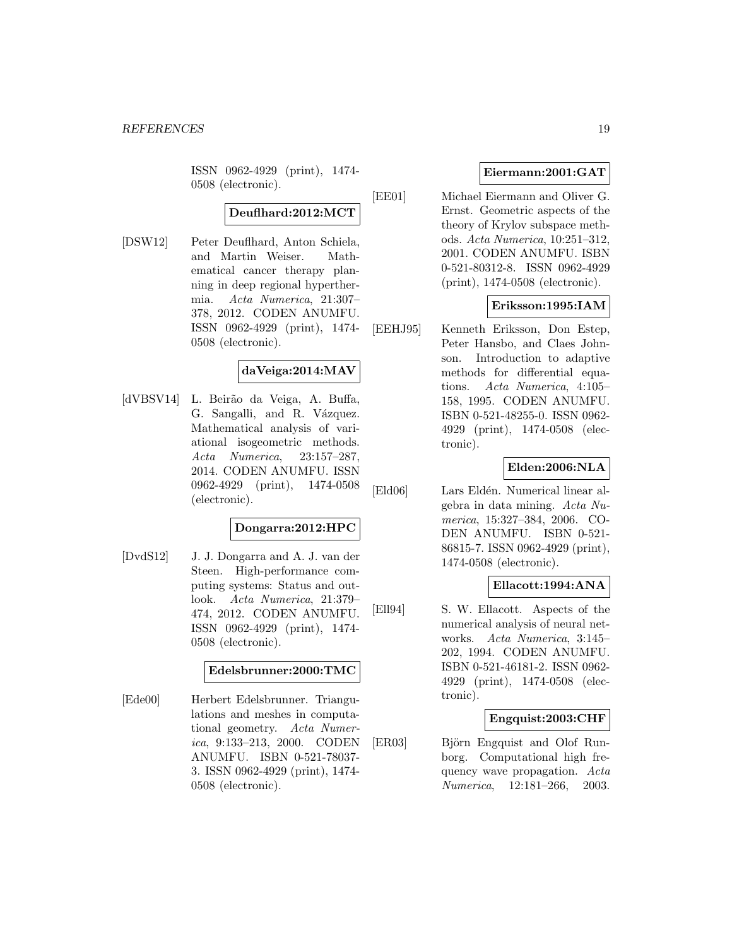ISSN 0962-4929 (print), 1474- 0508 (electronic).

# **Deuflhard:2012:MCT**

[DSW12] Peter Deuflhard, Anton Schiela, and Martin Weiser. Mathematical cancer therapy planning in deep regional hyperthermia. Acta Numerica, 21:307– 378, 2012. CODEN ANUMFU. ISSN 0962-4929 (print), 1474- 0508 (electronic).

# **daVeiga:2014:MAV**

[dVBSV14] L. Beirão da Veiga, A. Buffa, G. Sangalli, and R. Vázquez. Mathematical analysis of variational isogeometric methods. Acta Numerica, 23:157–287, 2014. CODEN ANUMFU. ISSN 0962-4929 (print), 1474-0508 (electronic).

#### **Dongarra:2012:HPC**

[DvdS12] J. J. Dongarra and A. J. van der Steen. High-performance computing systems: Status and outlook. Acta Numerica, 21:379– 474, 2012. CODEN ANUMFU. ISSN 0962-4929 (print), 1474- 0508 (electronic).

# **Edelsbrunner:2000:TMC**

[Ede00] Herbert Edelsbrunner. Triangulations and meshes in computational geometry. Acta Numerica, 9:133–213, 2000. CODEN ANUMFU. ISBN 0-521-78037- 3. ISSN 0962-4929 (print), 1474- 0508 (electronic).

#### **Eiermann:2001:GAT**

[EE01] Michael Eiermann and Oliver G. Ernst. Geometric aspects of the theory of Krylov subspace methods. Acta Numerica, 10:251–312, 2001. CODEN ANUMFU. ISBN 0-521-80312-8. ISSN 0962-4929 (print), 1474-0508 (electronic).

#### **Eriksson:1995:IAM**

[EEHJ95] Kenneth Eriksson, Don Estep, Peter Hansbo, and Claes Johnson. Introduction to adaptive methods for differential equations. Acta Numerica, 4:105– 158, 1995. CODEN ANUMFU. ISBN 0-521-48255-0. ISSN 0962- 4929 (print), 1474-0508 (electronic).

# **Elden:2006:NLA**

[Eld06] Lars Eldén. Numerical linear algebra in data mining. Acta Numerica, 15:327–384, 2006. CO-DEN ANUMFU. ISBN 0-521- 86815-7. ISSN 0962-4929 (print), 1474-0508 (electronic).

#### **Ellacott:1994:ANA**

[Ell94] S. W. Ellacott. Aspects of the numerical analysis of neural networks. Acta Numerica, 3:145– 202, 1994. CODEN ANUMFU. ISBN 0-521-46181-2. ISSN 0962- 4929 (print), 1474-0508 (electronic).

#### **Engquist:2003:CHF**

[ER03] Björn Engquist and Olof Runborg. Computational high frequency wave propagation. Acta Numerica, 12:181–266, 2003.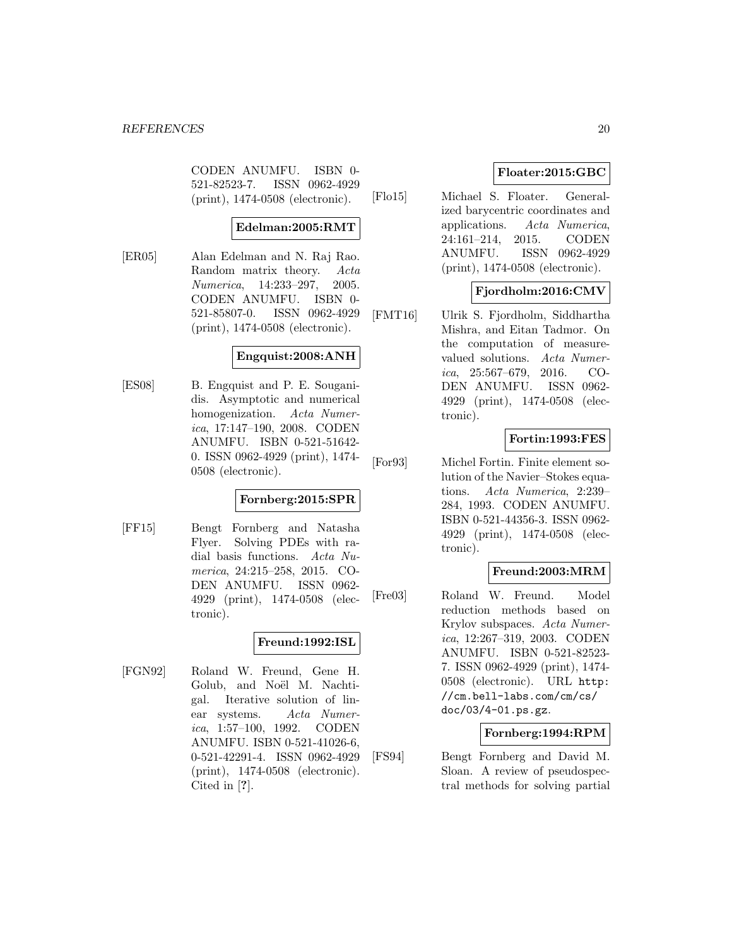CODEN ANUMFU. ISBN 0- 521-82523-7. ISSN 0962-4929 (print), 1474-0508 (electronic).

#### **Edelman:2005:RMT**

[ER05] Alan Edelman and N. Raj Rao. Random matrix theory. Acta Numerica, 14:233–297, 2005. CODEN ANUMFU. ISBN 0- 521-85807-0. ISSN 0962-4929 (print), 1474-0508 (electronic).

#### **Engquist:2008:ANH**

[ES08] B. Engquist and P. E. Souganidis. Asymptotic and numerical homogenization. Acta Numerica, 17:147–190, 2008. CODEN ANUMFU. ISBN 0-521-51642- 0. ISSN 0962-4929 (print), 1474- 0508 (electronic).

# **Fornberg:2015:SPR**

[FF15] Bengt Fornberg and Natasha Flyer. Solving PDEs with radial basis functions. Acta Numerica, 24:215–258, 2015. CO-DEN ANUMFU. ISSN 0962- 4929 (print), 1474-0508 (electronic).

# **Freund:1992:ISL**

[FGN92] Roland W. Freund, Gene H. Golub, and Noël M. Nachtigal. Iterative solution of linear systems. Acta Numerica, 1:57–100, 1992. CODEN ANUMFU. ISBN 0-521-41026-6, 0-521-42291-4. ISSN 0962-4929 (print), 1474-0508 (electronic). Cited in [**?**].

# **Floater:2015:GBC**

[Flo15] Michael S. Floater. Generalized barycentric coordinates and applications. Acta Numerica, 24:161–214, 2015. CODEN ANUMFU. ISSN 0962-4929 (print), 1474-0508 (electronic).

# **Fjordholm:2016:CMV**

[FMT16] Ulrik S. Fjordholm, Siddhartha Mishra, and Eitan Tadmor. On the computation of measurevalued solutions. Acta Numerica, 25:567–679, 2016. CO-DEN ANUMFU. ISSN 0962- 4929 (print), 1474-0508 (electronic).

# **Fortin:1993:FES**

[For93] Michel Fortin. Finite element solution of the Navier–Stokes equations. Acta Numerica, 2:239– 284, 1993. CODEN ANUMFU. ISBN 0-521-44356-3. ISSN 0962- 4929 (print), 1474-0508 (electronic).

# **Freund:2003:MRM**

[Fre03] Roland W. Freund. Model reduction methods based on Krylov subspaces. Acta Numerica, 12:267–319, 2003. CODEN ANUMFU. ISBN 0-521-82523- 7. ISSN 0962-4929 (print), 1474- 0508 (electronic). URL http: //cm.bell-labs.com/cm/cs/ doc/03/4-01.ps.gz.

#### **Fornberg:1994:RPM**

[FS94] Bengt Fornberg and David M. Sloan. A review of pseudospectral methods for solving partial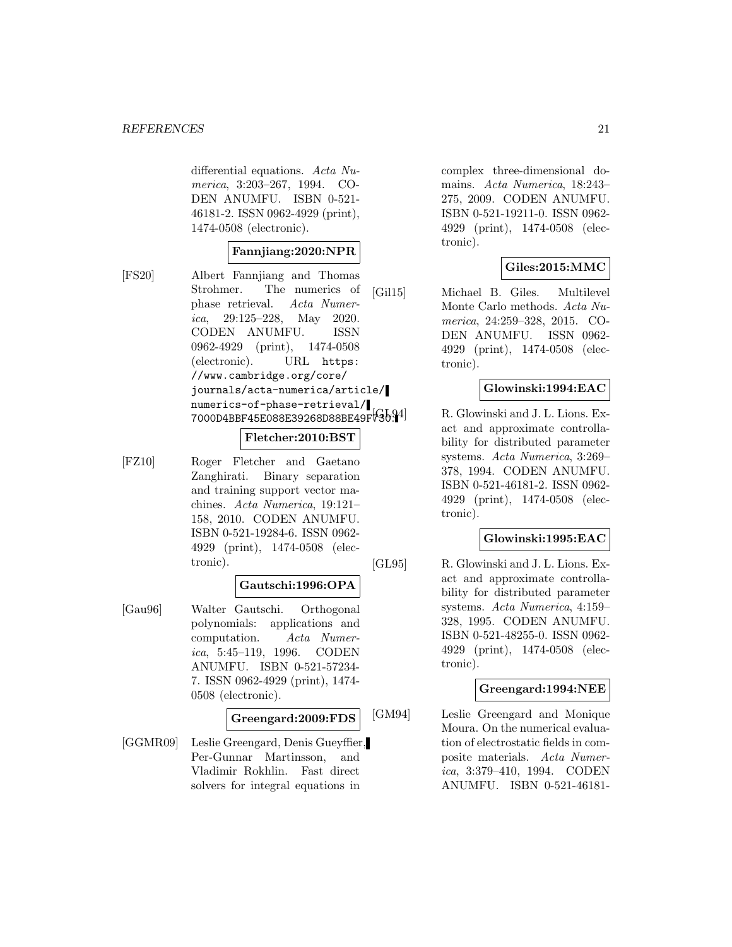differential equations. Acta Numerica, 3:203–267, 1994. CO-DEN ANUMFU. ISBN 0-521- 46181-2. ISSN 0962-4929 (print), 1474-0508 (electronic).

#### **Fannjiang:2020:NPR**

[FS20] Albert Fannjiang and Thomas Strohmer. The numerics of phase retrieval. Acta Numerica, 29:125–228, May 2020. CODEN ANUMFU. ISSN 0962-4929 (print), 1474-0508 (electronic). URL https: //www.cambridge.org/core/ journals/acta-numerica/article/ numerics-of-phase-retrieval/ 7000D4BBF45E088E39268D88BE49F730.

# **Fletcher:2010:BST**

[FZ10] Roger Fletcher and Gaetano Zanghirati. Binary separation and training support vector machines. Acta Numerica, 19:121– 158, 2010. CODEN ANUMFU. ISBN 0-521-19284-6. ISSN 0962- 4929 (print), 1474-0508 (electronic).

#### **Gautschi:1996:OPA**

[Gau96] Walter Gautschi. Orthogonal polynomials: applications and computation. Acta Numer*ica*, 5:45–119, 1996. CODEN ANUMFU. ISBN 0-521-57234- 7. ISSN 0962-4929 (print), 1474- 0508 (electronic).

# **Greengard:2009:FDS**

[GGMR09] Leslie Greengard, Denis Gueyffier, Per-Gunnar Martinsson, and Vladimir Rokhlin. Fast direct solvers for integral equations in

complex three-dimensional domains. Acta Numerica, 18:243– 275, 2009. CODEN ANUMFU. ISBN 0-521-19211-0. ISSN 0962- 4929 (print), 1474-0508 (electronic).

# **Giles:2015:MMC**

[Gil15] Michael B. Giles. Multilevel Monte Carlo methods. Acta Numerica, 24:259–328, 2015. CO-DEN ANUMFU. ISSN 0962- 4929 (print), 1474-0508 (electronic).

# **Glowinski:1994:EAC**

R. Glowinski and J. L. Lions. Exact and approximate controllability for distributed parameter systems. Acta Numerica, 3:269– 378, 1994. CODEN ANUMFU. ISBN 0-521-46181-2. ISSN 0962- 4929 (print), 1474-0508 (electronic).

# **Glowinski:1995:EAC**

[GL95] R. Glowinski and J. L. Lions. Exact and approximate controllability for distributed parameter systems. Acta Numerica, 4:159– 328, 1995. CODEN ANUMFU. ISBN 0-521-48255-0. ISSN 0962- 4929 (print), 1474-0508 (electronic).

#### **Greengard:1994:NEE**

[GM94] Leslie Greengard and Monique Moura. On the numerical evaluation of electrostatic fields in composite materials. Acta Numerica, 3:379–410, 1994. CODEN ANUMFU. ISBN 0-521-46181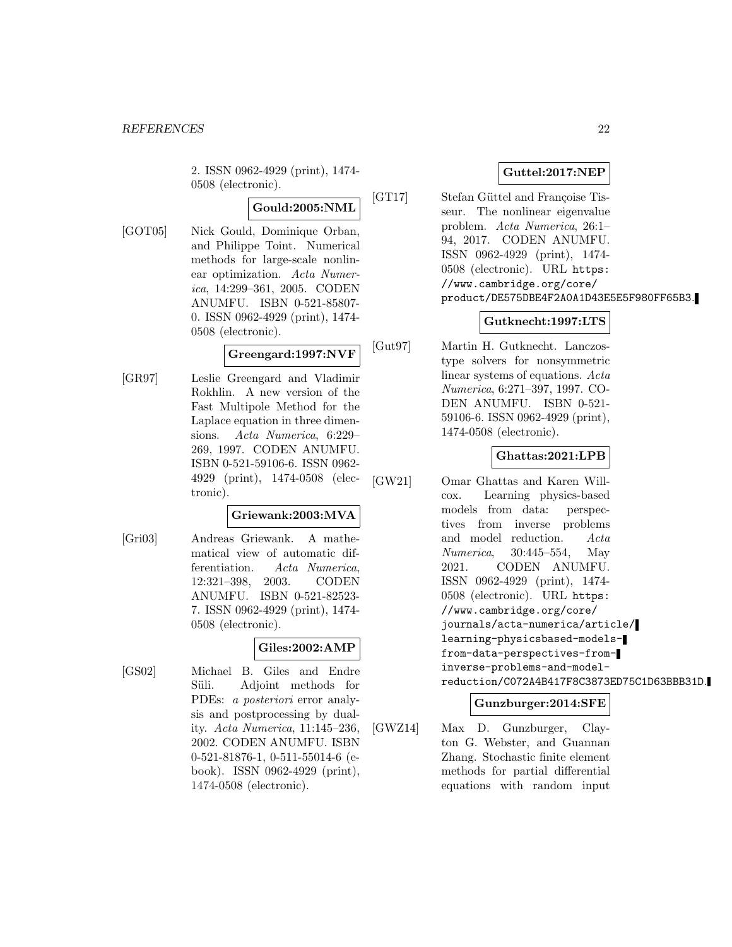2. ISSN 0962-4929 (print), 1474- 0508 (electronic).

**Gould:2005:NML**

[GOT05] Nick Gould, Dominique Orban, and Philippe Toint. Numerical methods for large-scale nonlinear optimization. Acta Numerica, 14:299–361, 2005. CODEN ANUMFU. ISBN 0-521-85807- 0. ISSN 0962-4929 (print), 1474- 0508 (electronic).

# **Greengard:1997:NVF**

[GR97] Leslie Greengard and Vladimir Rokhlin. A new version of the Fast Multipole Method for the Laplace equation in three dimensions. Acta Numerica, 6:229– 269, 1997. CODEN ANUMFU. ISBN 0-521-59106-6. ISSN 0962- 4929 (print), 1474-0508 (electronic).

# **Griewank:2003:MVA**

[Gri03] Andreas Griewank. A mathematical view of automatic differentiation. Acta Numerica, 12:321–398, 2003. CODEN ANUMFU. ISBN 0-521-82523- 7. ISSN 0962-4929 (print), 1474- 0508 (electronic).

# **Giles:2002:AMP**

[GS02] Michael B. Giles and Endre Süli. Adjoint methods for PDEs: a posteriori error analysis and postprocessing by duality. Acta Numerica, 11:145–236, 2002. CODEN ANUMFU. ISBN 0-521-81876-1, 0-511-55014-6 (ebook). ISSN 0962-4929 (print), 1474-0508 (electronic).

# **Guttel:2017:NEP**

[GT17] Stefan Güttel and Françoise Tisseur. The nonlinear eigenvalue problem. Acta Numerica, 26:1– 94, 2017. CODEN ANUMFU. ISSN 0962-4929 (print), 1474- 0508 (electronic). URL https: //www.cambridge.org/core/ product/DE575DBE4F2A0A1D43E5E5F980FF65B3.

# **Gutknecht:1997:LTS**

[Gut97] Martin H. Gutknecht. Lanczostype solvers for nonsymmetric linear systems of equations. Acta Numerica, 6:271–397, 1997. CO-DEN ANUMFU. ISBN 0-521- 59106-6. ISSN 0962-4929 (print), 1474-0508 (electronic).

# **Ghattas:2021:LPB**

[GW21] Omar Ghattas and Karen Willcox. Learning physics-based models from data: perspectives from inverse problems and model reduction. Acta Numerica, 30:445–554, May 2021. CODEN ANUMFU. ISSN 0962-4929 (print), 1474- 0508 (electronic). URL https: //www.cambridge.org/core/ journals/acta-numerica/article/ learning-physicsbased-modelsfrom-data-perspectives-frominverse-problems-and-modelreduction/C072A4B417F8C3873ED75C1D63BBB31D.

# **Gunzburger:2014:SFE**

[GWZ14] Max D. Gunzburger, Clayton G. Webster, and Guannan Zhang. Stochastic finite element methods for partial differential equations with random input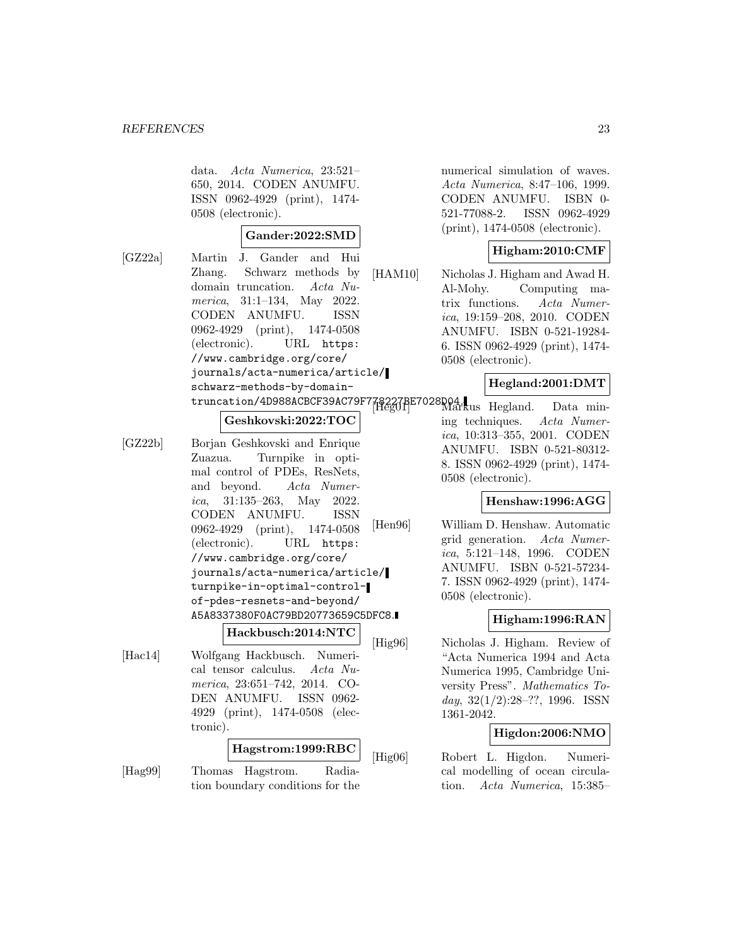data. Acta Numerica, 23:521– 650, 2014. CODEN ANUMFU. ISSN 0962-4929 (print), 1474- 0508 (electronic).

#### **Gander:2022:SMD**

[GZ22a] Martin J. Gander and Hui Zhang. Schwarz methods by domain truncation. Acta Numerica, 31:1–134, May 2022. CODEN ANUMFU. ISSN 0962-4929 (print), 1474-0508 (electronic). URL https: //www.cambridge.org/core/ journals/acta-numerica/article/ schwarz-methods-by-domaintruncation/4D988ACBCF39AC79F7

#### **Geshkovski:2022:TOC**

[GZ22b] Borjan Geshkovski and Enrique Zuazua. Turnpike in optimal control of PDEs, ResNets, and beyond. Acta Numerica, 31:135–263, May 2022. CODEN ANUMFU. ISSN 0962-4929 (print), 1474-0508 (electronic). URL https: //www.cambridge.org/core/ journals/acta-numerica/article/ turnpike-in-optimal-controlof-pdes-resnets-and-beyond/ A5A8337380F0AC79BD20773659C5DFC8.

#### **Hackbusch:2014:NTC**

[Hac14] Wolfgang Hackbusch. Numerical tensor calculus. Acta Numerica, 23:651–742, 2014. CO-DEN ANUMFU. ISSN 0962- 4929 (print), 1474-0508 (electronic).

# **Hagstrom:1999:RBC**

[Hag99] Thomas Hagstrom. Radiation boundary conditions for the numerical simulation of waves. Acta Numerica, 8:47–106, 1999. CODEN ANUMFU. ISBN 0- 521-77088-2. ISSN 0962-4929 (print), 1474-0508 (electronic).

# **Higham:2010:CMF**

[HAM10] Nicholas J. Higham and Awad H. Al-Mohy. Computing matrix functions. Acta Numerica, 19:159–208, 2010. CODEN ANUMFU. ISBN 0-521-19284- 6. ISSN 0962-4929 (print), 1474- 0508 (electronic).

#### **Hegland:2001:DMT**

[Heg01] Markus Hegland. Data mining techniques. Acta Numerica, 10:313–355, 2001. CODEN ANUMFU. ISBN 0-521-80312- 8. ISSN 0962-4929 (print), 1474- 0508 (electronic).

#### **Henshaw:1996:AGG**

[Hen96] William D. Henshaw. Automatic grid generation. Acta Numerica, 5:121–148, 1996. CODEN ANUMFU. ISBN 0-521-57234- 7. ISSN 0962-4929 (print), 1474- 0508 (electronic).

# **Higham:1996:RAN**

[Hig96] Nicholas J. Higham. Review of "Acta Numerica 1994 and Acta Numerica 1995, Cambridge University Press". Mathematics Today,  $32(1/2):28-??$ , 1996. ISSN 1361-2042.

# **Higdon:2006:NMO**

[Hig06] Robert L. Higdon. Numerical modelling of ocean circulation. Acta Numerica, 15:385–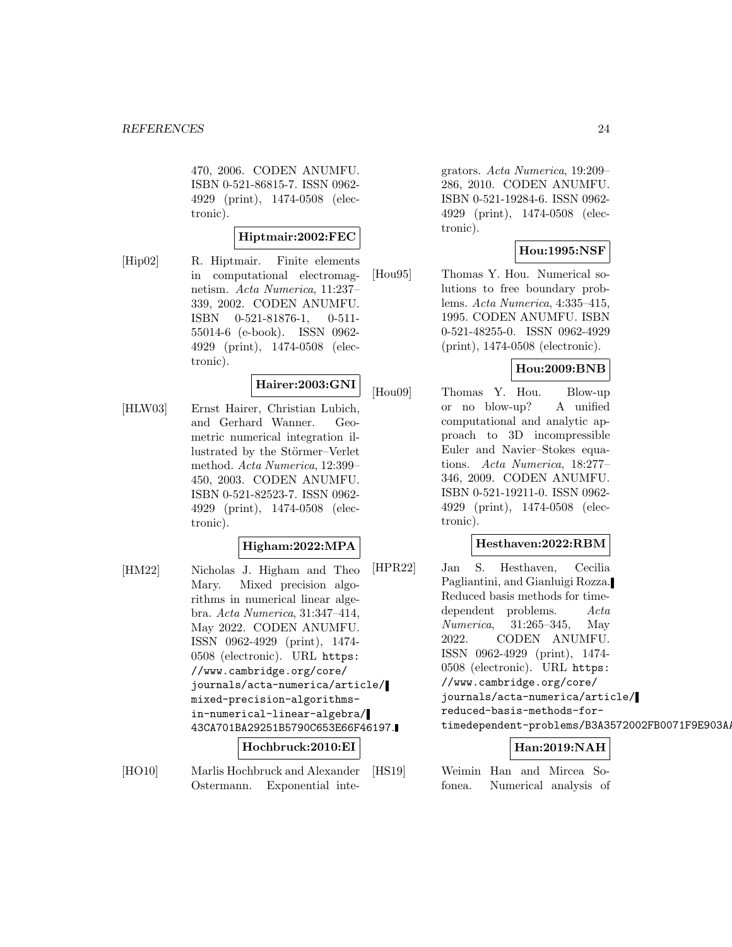470, 2006. CODEN ANUMFU. ISBN 0-521-86815-7. ISSN 0962- 4929 (print), 1474-0508 (electronic).

#### **Hiptmair:2002:FEC**

[Hip02] R. Hiptmair. Finite elements in computational electromagnetism. Acta Numerica, 11:237– 339, 2002. CODEN ANUMFU. ISBN 0-521-81876-1, 0-511- 55014-6 (e-book). ISSN 0962- 4929 (print), 1474-0508 (electronic).

# **Hairer:2003:GNI**

[HLW03] Ernst Hairer, Christian Lubich, and Gerhard Wanner. Geometric numerical integration illustrated by the Störmer–Verlet method. Acta Numerica, 12:399– 450, 2003. CODEN ANUMFU. ISBN 0-521-82523-7. ISSN 0962- 4929 (print), 1474-0508 (electronic).

#### **Higham:2022:MPA**

[HM22] Nicholas J. Higham and Theo Mary. Mixed precision algorithms in numerical linear algebra. Acta Numerica, 31:347–414, May 2022. CODEN ANUMFU. ISSN 0962-4929 (print), 1474- 0508 (electronic). URL https: //www.cambridge.org/core/ journals/acta-numerica/article/ mixed-precision-algorithmsin-numerical-linear-algebra/ 43CA701BA29251B5790C653E66F46197.

**Hochbruck:2010:EI**

[HO10] Marlis Hochbruck and Alexander Ostermann. Exponential inte-

grators. Acta Numerica, 19:209– 286, 2010. CODEN ANUMFU. ISBN 0-521-19284-6. ISSN 0962- 4929 (print), 1474-0508 (electronic).

# **Hou:1995:NSF**

[Hou95] Thomas Y. Hou. Numerical solutions to free boundary problems. Acta Numerica, 4:335–415, 1995. CODEN ANUMFU. ISBN 0-521-48255-0. ISSN 0962-4929 (print), 1474-0508 (electronic).

# **Hou:2009:BNB**

[Hou09] Thomas Y. Hou. Blow-up or no blow-up? A unified computational and analytic approach to 3D incompressible Euler and Navier–Stokes equations. Acta Numerica, 18:277– 346, 2009. CODEN ANUMFU. ISBN 0-521-19211-0. ISSN 0962- 4929 (print), 1474-0508 (electronic).

#### **Hesthaven:2022:RBM**

[HPR22] Jan S. Hesthaven, Cecilia Pagliantini, and Gianluigi Rozza. Reduced basis methods for timedependent problems. Acta Numerica, 31:265–345, May 2022. CODEN ANUMFU. ISSN 0962-4929 (print), 1474- 0508 (electronic). URL https: //www.cambridge.org/core/ journals/acta-numerica/article/ reduced-basis-methods-fortimedependent-problems/B3A3572002FB0071F9E903AA

# **Han:2019:NAH**

[HS19] Weimin Han and Mircea Sofonea. Numerical analysis of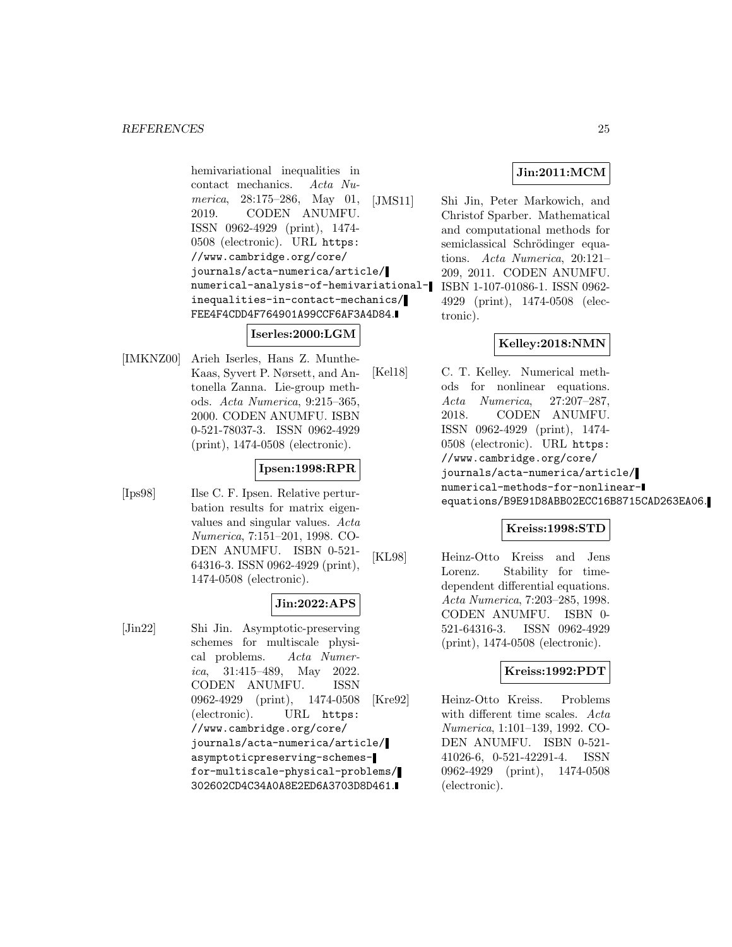hemivariational inequalities in contact mechanics. Acta Numerica, 28:175–286, May 01, 2019. CODEN ANUMFU. ISSN 0962-4929 (print), 1474- 0508 (electronic). URL https: //www.cambridge.org/core/ journals/acta-numerica/article/ numerical-analysis-of-hemivariational-ISBN 1-107-01086-1. ISSN 0962 inequalities-in-contact-mechanics/ FEE4F4CDD4F764901A99CCF6AF3A4D84.

# **Iserles:2000:LGM**

[IMKNZ00] Arieh Iserles, Hans Z. Munthe-Kaas, Syvert P. Nørsett, and Antonella Zanna. Lie-group methods. Acta Numerica, 9:215–365, 2000. CODEN ANUMFU. ISBN 0-521-78037-3. ISSN 0962-4929 (print), 1474-0508 (electronic).

# **Ipsen:1998:RPR**

[Ips98] Ilse C. F. Ipsen. Relative perturbation results for matrix eigenvalues and singular values. Acta Numerica, 7:151–201, 1998. CO-DEN ANUMFU. ISBN 0-521- 64316-3. ISSN 0962-4929 (print), 1474-0508 (electronic).

# **Jin:2022:APS**

[Jin22] Shi Jin. Asymptotic-preserving schemes for multiscale physical problems. Acta Numerica, 31:415–489, May 2022. CODEN ANUMFU. ISSN 0962-4929 (print), 1474-0508 (electronic). URL https: //www.cambridge.org/core/ journals/acta-numerica/article/ asymptoticpreserving-schemesfor-multiscale-physical-problems/ 302602CD4C34A0A8E2ED6A3703D8D461.

# **Jin:2011:MCM**

[JMS11] Shi Jin, Peter Markowich, and Christof Sparber. Mathematical and computational methods for semiclassical Schrödinger equations. Acta Numerica, 20:121– 209, 2011. CODEN ANUMFU. 4929 (print), 1474-0508 (electronic).

# **Kelley:2018:NMN**

[Kel18] C. T. Kelley. Numerical methods for nonlinear equations. Acta Numerica, 27:207–287, 2018. CODEN ANUMFU. ISSN 0962-4929 (print), 1474- 0508 (electronic). URL https: //www.cambridge.org/core/ journals/acta-numerica/article/ numerical-methods-for-nonlinearequations/B9E91D8ABB02ECC16B8715CAD263EA06.

# **Kreiss:1998:STD**

[KL98] Heinz-Otto Kreiss and Jens Lorenz. Stability for timedependent differential equations. Acta Numerica, 7:203–285, 1998. CODEN ANUMFU. ISBN 0- 521-64316-3. ISSN 0962-4929 (print), 1474-0508 (electronic).

# **Kreiss:1992:PDT**

[Kre92] Heinz-Otto Kreiss. Problems with different time scales. Acta Numerica, 1:101–139, 1992. CO-DEN ANUMFU. ISBN 0-521- 41026-6, 0-521-42291-4. ISSN 0962-4929 (print), 1474-0508 (electronic).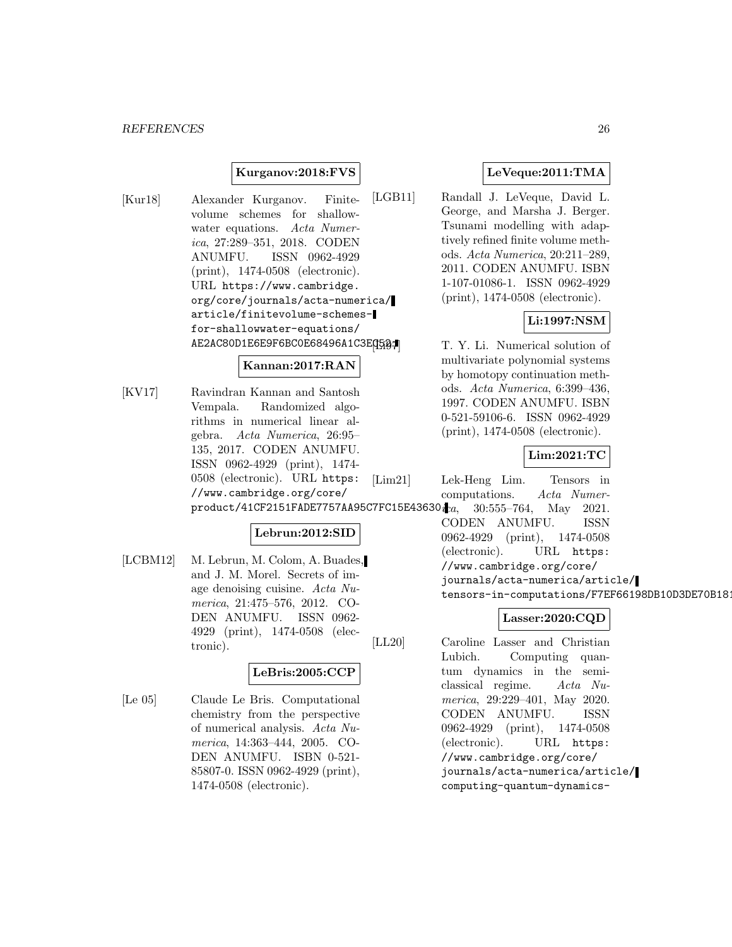#### **Kurganov:2018:FVS**

[Kur18] Alexander Kurganov. Finitevolume schemes for shallowwater equations. Acta Numerica, 27:289–351, 2018. CODEN ANUMFU. ISSN 0962-4929 (print), 1474-0508 (electronic). URL https://www.cambridge. org/core/journals/acta-numerica/ article/finitevolume-schemesfor-shallowwater-equations/ AE2AC80D1E6E9F6BC0E68496A1C3EG52.

#### **Kannan:2017:RAN**

[KV17] Ravindran Kannan and Santosh Vempala. Randomized algorithms in numerical linear algebra. Acta Numerica, 26:95– 135, 2017. CODEN ANUMFU. ISSN 0962-4929 (print), 1474- 0508 (electronic). URL https: //www.cambridge.org/core/  $product/41CF2151FADE7757AA95CTFC15E43630.$ 

# **Lebrun:2012:SID**

[LCBM12] M. Lebrun, M. Colom, A. Buades, and J. M. Morel. Secrets of image denoising cuisine. Acta Numerica, 21:475–576, 2012. CO-DEN ANUMFU. ISSN 0962- 4929 (print), 1474-0508 (electronic).

#### **LeBris:2005:CCP**

[Le 05] Claude Le Bris. Computational chemistry from the perspective of numerical analysis. Acta Numerica, 14:363–444, 2005. CO-DEN ANUMFU. ISBN 0-521- 85807-0. ISSN 0962-4929 (print), 1474-0508 (electronic).

# **LeVeque:2011:TMA**

[LGB11] Randall J. LeVeque, David L. George, and Marsha J. Berger. Tsunami modelling with adaptively refined finite volume methods. Acta Numerica, 20:211–289, 2011. CODEN ANUMFU. ISBN 1-107-01086-1. ISSN 0962-4929 (print), 1474-0508 (electronic).

# **Li:1997:NSM**

T. Y. Li. Numerical solution of multivariate polynomial systems by homotopy continuation methods. Acta Numerica, 6:399–436, 1997. CODEN ANUMFU. ISBN 0-521-59106-6. ISSN 0962-4929 (print), 1474-0508 (electronic).

# **Lim:2021:TC**

[Lim21] Lek-Heng Lim. Tensors in computations. Acta Numer-30:555–764, May 2021. CODEN ANUMFU. ISSN 0962-4929 (print), 1474-0508 (electronic). URL https: //www.cambridge.org/core/ journals/acta-numerica/article/ tensors-in-computations/F7EF66198DB10D3DE70B181

#### **Lasser:2020:CQD**

[LL20] Caroline Lasser and Christian Lubich. Computing quantum dynamics in the semiclassical regime. Acta Numerica, 29:229–401, May 2020. CODEN ANUMFU. ISSN 0962-4929 (print), 1474-0508 (electronic). URL https: //www.cambridge.org/core/ journals/acta-numerica/article/ computing-quantum-dynamics-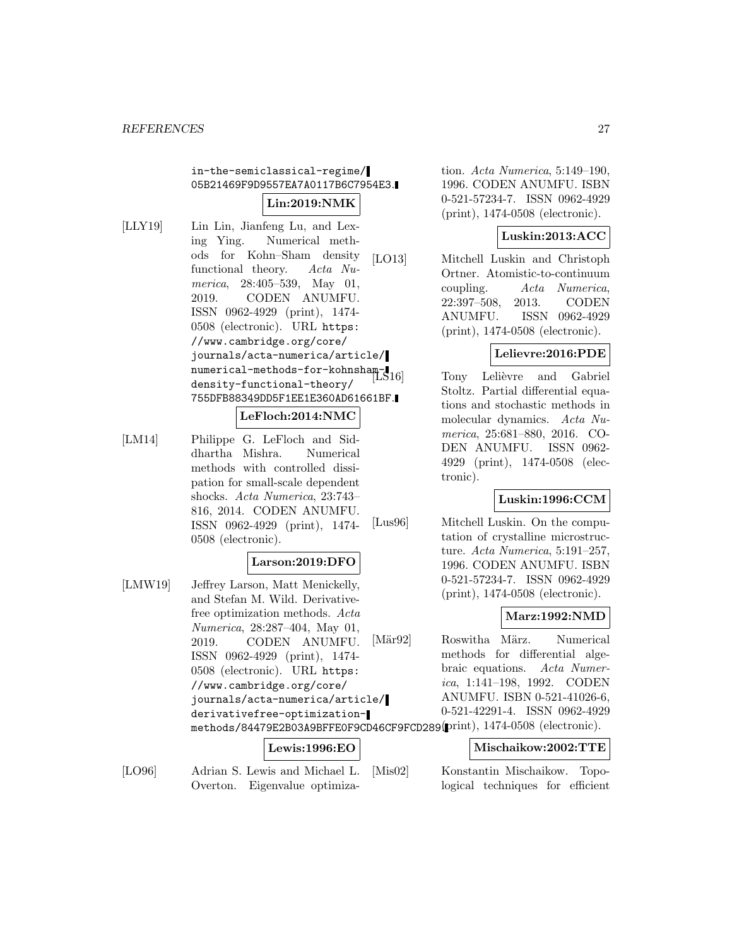# in-the-semiclassical-regime/ 05B21469F9D9557EA7A0117B6C7954E3. **Lin:2019:NMK**

- [LLY19] Lin Lin, Jianfeng Lu, and Lexing Ying. Numerical methods for Kohn–Sham density functional theory. Acta Numerica, 28:405–539, May 01, 2019. CODEN ANUMFU. ISSN 0962-4929 (print), 1474- 0508 (electronic). URL https: //www.cambridge.org/core/ journals/acta-numerica/article/ numerical-methods-for-kohnshamdensity-functional-theory/ 755DFB88349DD5F1EE1E360AD61661BF. **LeFloch:2014:NMC**
- [LM14] Philippe G. LeFloch and Siddhartha Mishra. Numerical methods with controlled dissipation for small-scale dependent

shocks. Acta Numerica, 23:743– 816, 2014. CODEN ANUMFU. ISSN 0962-4929 (print), 1474- 0508 (electronic).

# **Larson:2019:DFO**

[LMW19] Jeffrey Larson, Matt Menickelly, and Stefan M. Wild. Derivativefree optimization methods. Acta Numerica, 28:287–404, May 01, 2019. CODEN ANUMFU. ISSN 0962-4929 (print), 1474- 0508 (electronic). URL https: //www.cambridge.org/core/ journals/acta-numerica/article/ derivativefree-optimizationmethods/84479E2B03A9BFFE0F9CD46CF9FCD289. (print), 1474-0508 (electronic).

# **Lewis:1996:EO**

[LO96] Adrian S. Lewis and Michael L. Overton. Eigenvalue optimization. Acta Numerica, 5:149–190, 1996. CODEN ANUMFU. ISBN 0-521-57234-7. ISSN 0962-4929 (print), 1474-0508 (electronic).

# **Luskin:2013:ACC**

[LO13] Mitchell Luskin and Christoph Ortner. Atomistic-to-continuum coupling. Acta Numerica, 22:397–508, 2013. CODEN ANUMFU. ISSN 0962-4929 (print), 1474-0508 (electronic).

# **Lelievre:2016:PDE**

Tony Lelièvre and Gabriel Stoltz. Partial differential equations and stochastic methods in molecular dynamics. Acta Numerica, 25:681–880, 2016. CO-DEN ANUMFU. ISSN 0962- 4929 (print), 1474-0508 (electronic).

# **Luskin:1996:CCM**

[Lus96] Mitchell Luskin. On the computation of crystalline microstructure. Acta Numerica, 5:191–257, 1996. CODEN ANUMFU. ISBN 0-521-57234-7. ISSN 0962-4929 (print), 1474-0508 (electronic).

#### **Marz:1992:NMD**

[Mär92] Roswitha März. Numerical methods for differential algebraic equations. Acta Numerica, 1:141–198, 1992. CODEN ANUMFU. ISBN 0-521-41026-6, 0-521-42291-4. ISSN 0962-4929

#### **Mischaikow:2002:TTE**

[Mis02] Konstantin Mischaikow. Topological techniques for efficient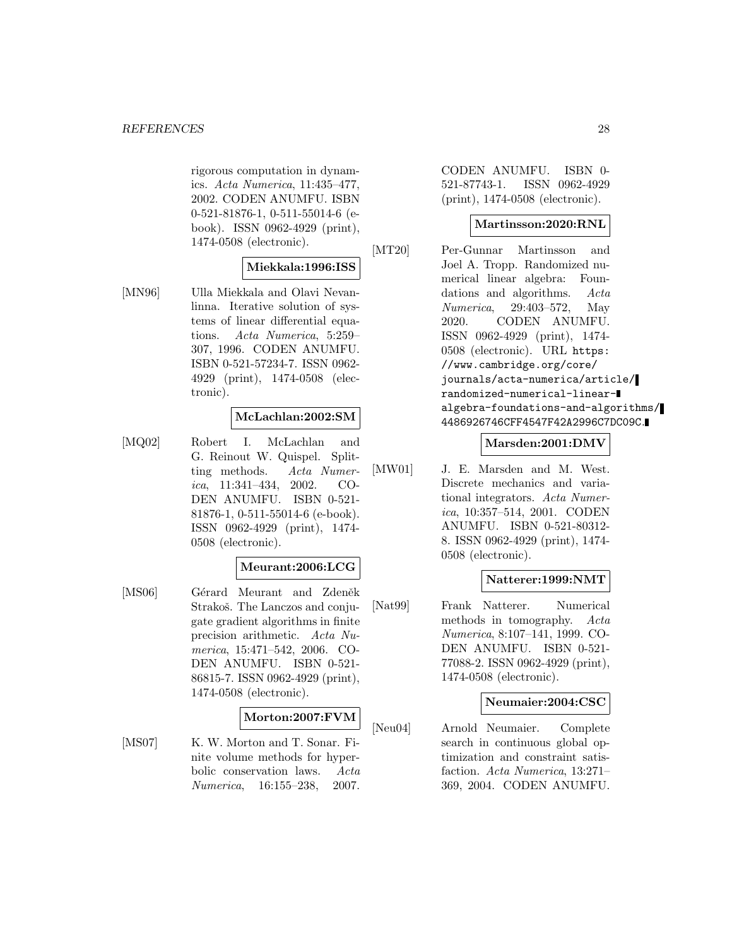rigorous computation in dynamics. Acta Numerica, 11:435–477, 2002. CODEN ANUMFU. ISBN 0-521-81876-1, 0-511-55014-6 (ebook). ISSN 0962-4929 (print), 1474-0508 (electronic).

# **Miekkala:1996:ISS**

[MN96] Ulla Miekkala and Olavi Nevanlinna. Iterative solution of systems of linear differential equations. Acta Numerica, 5:259– 307, 1996. CODEN ANUMFU. ISBN 0-521-57234-7. ISSN 0962- 4929 (print), 1474-0508 (electronic).

#### **McLachlan:2002:SM**

[MQ02] Robert I. McLachlan and G. Reinout W. Quispel. Splitting methods. Acta Numerica, 11:341–434, 2002. CO-DEN ANUMFU. ISBN 0-521- 81876-1, 0-511-55014-6 (e-book). ISSN 0962-4929 (print), 1474- 0508 (electronic).

#### **Meurant:2006:LCG**

[MS06] Gérard Meurant and Zdeněk Strakoš. The Lanczos and conjugate gradient algorithms in finite precision arithmetic. Acta Numerica, 15:471–542, 2006. CO-DEN ANUMFU. ISBN 0-521- 86815-7. ISSN 0962-4929 (print), 1474-0508 (electronic).

#### **Morton:2007:FVM**

[MS07] K. W. Morton and T. Sonar. Finite volume methods for hyperbolic conservation laws. Acta Numerica, 16:155–238, 2007.

CODEN ANUMFU. ISBN 0- 521-87743-1. ISSN 0962-4929 (print), 1474-0508 (electronic).

#### **Martinsson:2020:RNL**

[MT20] Per-Gunnar Martinsson and Joel A. Tropp. Randomized numerical linear algebra: Foundations and algorithms. Acta Numerica, 29:403–572, May 2020. CODEN ANUMFU. ISSN 0962-4929 (print), 1474- 0508 (electronic). URL https: //www.cambridge.org/core/ journals/acta-numerica/article/ randomized-numerical-linearalgebra-foundations-and-algorithms/ 4486926746CFF4547F42A2996C7DC09C.

#### **Marsden:2001:DMV**

[MW01] J. E. Marsden and M. West. Discrete mechanics and variational integrators. Acta Numerica, 10:357–514, 2001. CODEN ANUMFU. ISBN 0-521-80312- 8. ISSN 0962-4929 (print), 1474- 0508 (electronic).

#### **Natterer:1999:NMT**

[Nat99] Frank Natterer. Numerical methods in tomography. Acta Numerica, 8:107–141, 1999. CO-DEN ANUMFU. ISBN 0-521- 77088-2. ISSN 0962-4929 (print), 1474-0508 (electronic).

#### **Neumaier:2004:CSC**

[Neu04] Arnold Neumaier. Complete search in continuous global optimization and constraint satisfaction. Acta Numerica, 13:271– 369, 2004. CODEN ANUMFU.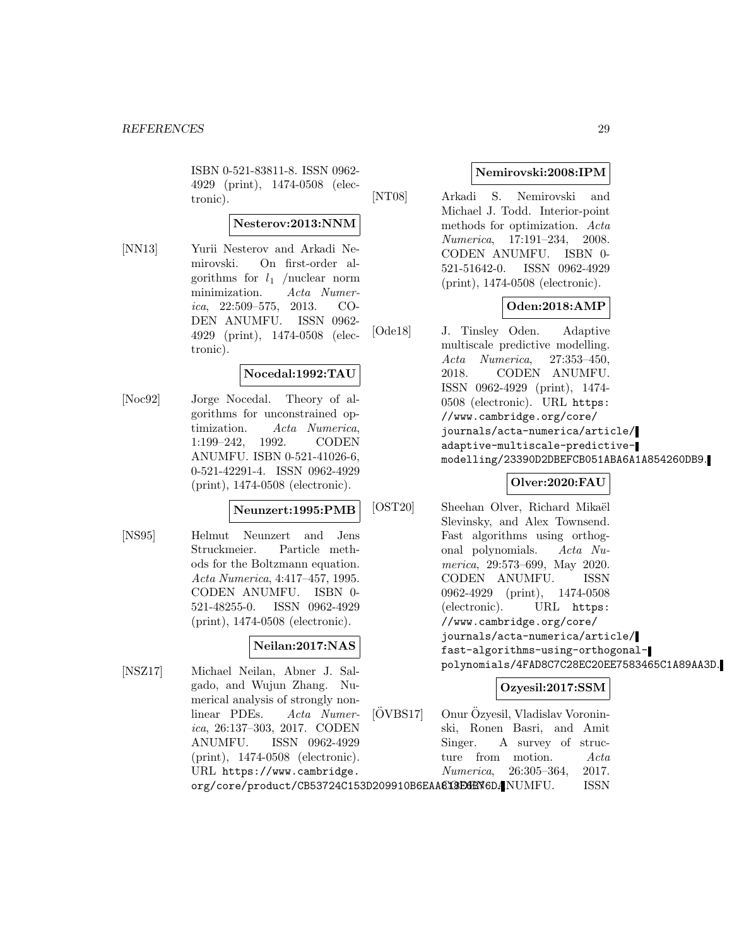ISBN 0-521-83811-8. ISSN 0962- 4929 (print), 1474-0508 (electronic).

# **Nesterov:2013:NNM**

[NN13] Yurii Nesterov and Arkadi Nemirovski. On first-order algorithms for  $l_1$  /nuclear norm minimization. Acta Numerica, 22:509–575, 2013. CO-DEN ANUMFU. ISSN 0962- 4929 (print), 1474-0508 (electronic).

# **Nocedal:1992:TAU**

[Noc92] Jorge Nocedal. Theory of algorithms for unconstrained optimization. Acta Numerica, 1:199–242, 1992. CODEN ANUMFU. ISBN 0-521-41026-6, 0-521-42291-4. ISSN 0962-4929 (print), 1474-0508 (electronic).

#### **Neunzert:1995:PMB**

[NS95] Helmut Neunzert and Jens Struckmeier. Particle methods for the Boltzmann equation. Acta Numerica, 4:417–457, 1995. CODEN ANUMFU. ISBN 0- 521-48255-0. ISSN 0962-4929 (print), 1474-0508 (electronic).

# **Neilan:2017:NAS**

[NSZ17] Michael Neilan, Abner J. Salgado, and Wujun Zhang. Numerical analysis of strongly nonlinear PDEs. Acta Numerica, 26:137–303, 2017. CODEN ANUMFU. ISSN 0962-4929 (print), 1474-0508 (electronic). URL https://www.cambridge.

# **Nemirovski:2008:IPM**

[NT08] Arkadi S. Nemirovski and Michael J. Todd. Interior-point methods for optimization. Acta Numerica, 17:191–234, 2008. CODEN ANUMFU. ISBN 0- 521-51642-0. ISSN 0962-4929 (print), 1474-0508 (electronic).

# **Oden:2018:AMP**

[Ode18] J. Tinsley Oden. Adaptive multiscale predictive modelling. Acta Numerica, 27:353–450, 2018. CODEN ANUMFU. ISSN 0962-4929 (print), 1474- 0508 (electronic). URL https: //www.cambridge.org/core/ journals/acta-numerica/article/ adaptive-multiscale-predictivemodelling/23390D2DBEFCB051ABA6A1A854260DB9.

# **Olver:2020:FAU**

[OST20] Sheehan Olver, Richard Mikaël Slevinsky, and Alex Townsend. Fast algorithms using orthogonal polynomials. Acta Numerica, 29:573–699, May 2020. CODEN ANUMFU. ISSN 0962-4929 (print), 1474-0508 (electronic). URL https: //www.cambridge.org/core/ journals/acta-numerica/article/ fast-algorithms-using-orthogonalpolynomials/4FAD8C7C28EC20EE7583465C1A89AA3D.

# **Ozyesil:2017:SSM**

org/core/product/CB53724C153D209910B6EAA613E6EN6DANUMFU. ISSN  $[OVBS17]$  Onur Özyesil, Vladislav Voroninski, Ronen Basri, and Amit Singer. A survey of structure from motion. Acta Numerica, 26:305–364, 2017.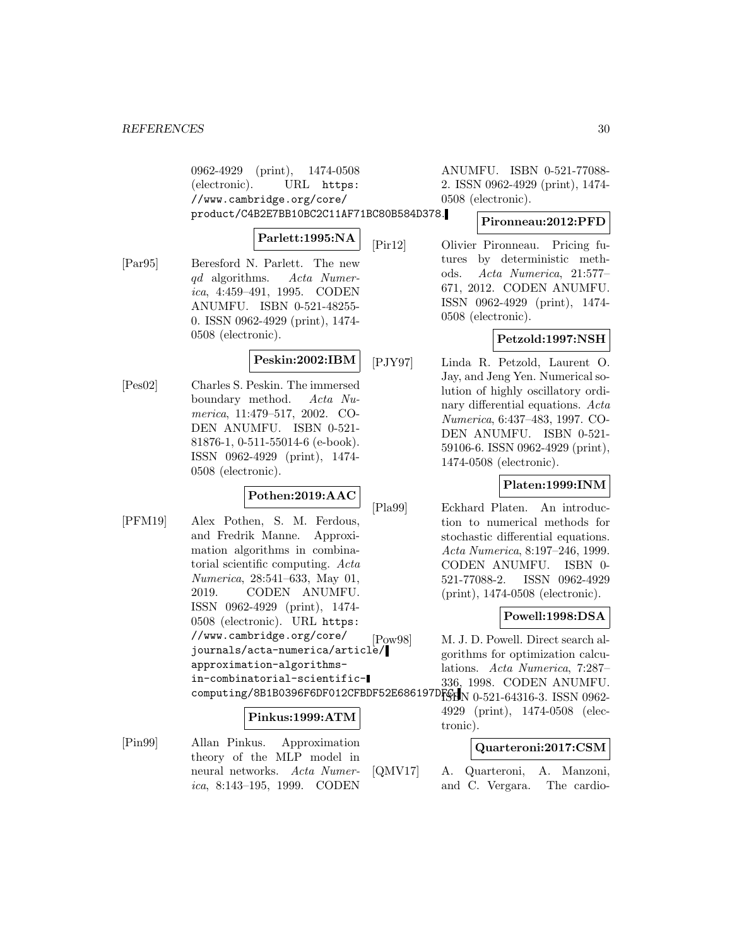0962-4929 (print), 1474-0508 (electronic). URL https: //www.cambridge.org/core/ product/C4B2E7BB10BC2C11AF71BC80B584D378.

#### **Parlett:1995:NA**

[Par95] Beresford N. Parlett. The new qd algorithms. Acta Numerica, 4:459–491, 1995. CODEN ANUMFU. ISBN 0-521-48255- 0. ISSN 0962-4929 (print), 1474- 0508 (electronic).

# **Peskin:2002:IBM**

[Pes02] Charles S. Peskin. The immersed boundary method. Acta Numerica, 11:479–517, 2002. CO-DEN ANUMFU. ISBN 0-521- 81876-1, 0-511-55014-6 (e-book). ISSN 0962-4929 (print), 1474- 0508 (electronic).

# **Pothen:2019:AAC**

[PFM19] Alex Pothen, S. M. Ferdous, and Fredrik Manne. Approximation algorithms in combinatorial scientific computing. Acta Numerica, 28:541–633, May 01, 2019. CODEN ANUMFU. ISSN 0962-4929 (print), 1474- 0508 (electronic). URL https: //www.cambridge.org/core/ journals/acta-numerica/article/ approximation-algorithmsin-combinatorial-scientific- $\texttt{computing/8B1B0396F6DF012CFBDF52E686197DFS}$  N 0-521-64316-3. ISSN 0962-

#### **Pinkus:1999:ATM**

[Pin99] Allan Pinkus. Approximation theory of the MLP model in neural networks. Acta Numerica, 8:143–195, 1999. CODEN

ANUMFU. ISBN 0-521-77088- 2. ISSN 0962-4929 (print), 1474- 0508 (electronic).

#### **Pironneau:2012:PFD**

[Pir12] Olivier Pironneau. Pricing futures by deterministic methods. Acta Numerica, 21:577– 671, 2012. CODEN ANUMFU. ISSN 0962-4929 (print), 1474- 0508 (electronic).

# **Petzold:1997:NSH**

[PJY97] Linda R. Petzold, Laurent O. Jay, and Jeng Yen. Numerical solution of highly oscillatory ordinary differential equations. Acta Numerica, 6:437–483, 1997. CO-DEN ANUMFU. ISBN 0-521- 59106-6. ISSN 0962-4929 (print), 1474-0508 (electronic).

# **Platen:1999:INM**

[Pla99] Eckhard Platen. An introduction to numerical methods for stochastic differential equations. Acta Numerica, 8:197–246, 1999. CODEN ANUMFU. ISBN 0- 521-77088-2. ISSN 0962-4929 (print), 1474-0508 (electronic).

#### **Powell:1998:DSA**

[Pow98] M. J. D. Powell. Direct search algorithms for optimization calculations. Acta Numerica, 7:287– 336, 1998. CODEN ANUMFU.

> 4929 (print), 1474-0508 (electronic).

#### **Quarteroni:2017:CSM**

[QMV17] A. Quarteroni, A. Manzoni, and C. Vergara. The cardio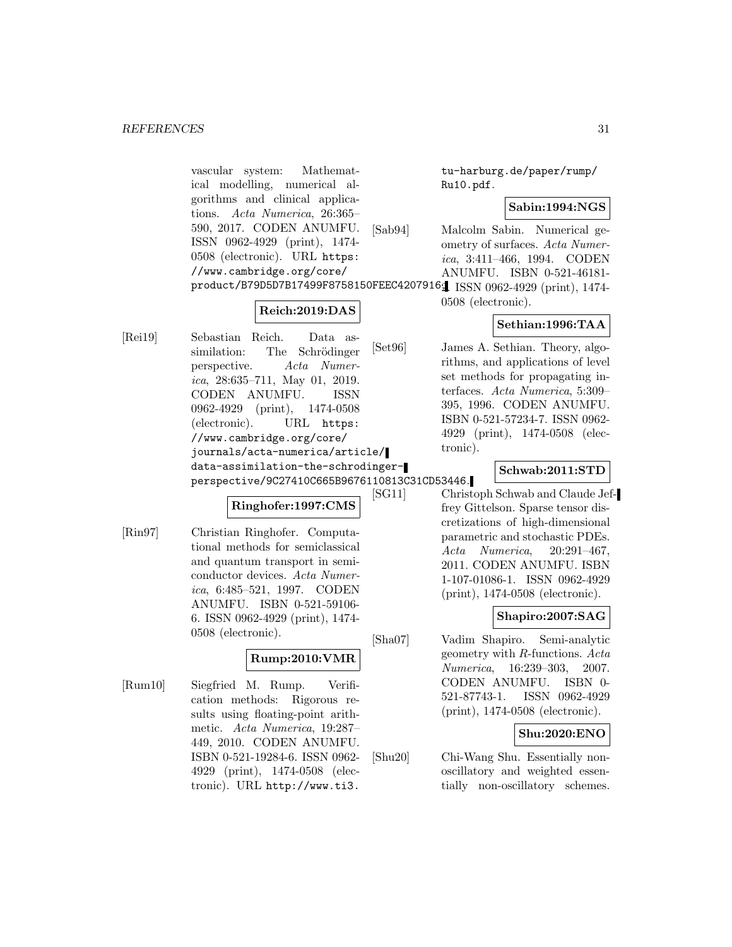vascular system: Mathematical modelling, numerical algorithms and clinical applications. Acta Numerica, 26:365– 590, 2017. CODEN ANUMFU. ISSN 0962-4929 (print), 1474- 0508 (electronic). URL https: //www.cambridge.org/core/ product/B79D5D7B17499F8758150FEEC4207916. 2. ISSN 0962-4929 (print), 1474-

# **Reich:2019:DAS**

[Rei19] Sebastian Reich. Data assimilation: The Schrödinger perspective. Acta Numerica, 28:635–711, May 01, 2019. CODEN ANUMFU. ISSN 0962-4929 (print), 1474-0508 (electronic). URL https: //www.cambridge.org/core/ journals/acta-numerica/article/ data-assimilation-the-schrodingerperspective/9C27410C665B9676110813C31CD53446.

# **Ringhofer:1997:CMS**

[Rin97] Christian Ringhofer. Computational methods for semiclassical and quantum transport in semiconductor devices. Acta Numerica, 6:485–521, 1997. CODEN ANUMFU. ISBN 0-521-59106- 6. ISSN 0962-4929 (print), 1474- 0508 (electronic).

# **Rump:2010:VMR**

[Rum10] Siegfried M. Rump. Verification methods: Rigorous results using floating-point arithmetic. Acta Numerica, 19:287– 449, 2010. CODEN ANUMFU. ISBN 0-521-19284-6. ISSN 0962- 4929 (print), 1474-0508 (electronic). URL http://www.ti3.

tu-harburg.de/paper/rump/ Ru10.pdf.

# **Sabin:1994:NGS**

- [Sab94] Malcolm Sabin. Numerical geometry of surfaces. Acta Numerica, 3:411–466, 1994. CODEN ANUMFU. ISBN 0-521-46181-
	- 0508 (electronic).

# **Sethian:1996:TAA**

[Set96] James A. Sethian. Theory, algorithms, and applications of level set methods for propagating interfaces. Acta Numerica, 5:309– 395, 1996. CODEN ANUMFU. ISBN 0-521-57234-7. ISSN 0962- 4929 (print), 1474-0508 (electronic).

# **Schwab:2011:STD**

[SG11] Christoph Schwab and Claude Jeffrey Gittelson. Sparse tensor discretizations of high-dimensional parametric and stochastic PDEs. Acta Numerica, 20:291–467, 2011. CODEN ANUMFU. ISBN 1-107-01086-1. ISSN 0962-4929 (print), 1474-0508 (electronic).

# **Shapiro:2007:SAG**

[Sha07] Vadim Shapiro. Semi-analytic geometry with R-functions. Acta Numerica, 16:239–303, 2007. CODEN ANUMFU. ISBN 0- 521-87743-1. ISSN 0962-4929 (print), 1474-0508 (electronic).

# **Shu:2020:ENO**

[Shu20] Chi-Wang Shu. Essentially nonoscillatory and weighted essentially non-oscillatory schemes.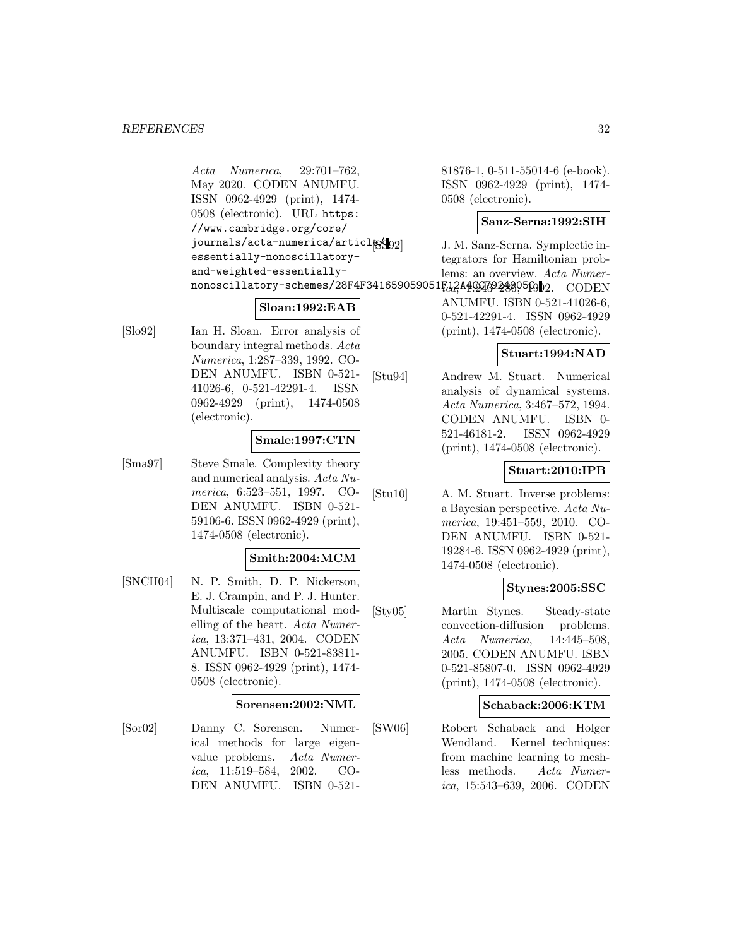Acta Numerica, 29:701–762, May 2020. CODEN ANUMFU. ISSN 0962-4929 (print), 1474- 0508 (electronic). URL https: //www.cambridge.org/core/ journals/acta-numerica/articlex essentially-nonoscillatoryand-weighted-essentially- ${\tt nonoscillatory-schemes/28F4F341659059051}$   $H_{{\rm d}\alpha}^{2}{\rm A}4$ C $4$ C $4$ C $4$ C $2$ C $3$ 2 $2$ C $6$ O $9$ D $2.$   $\hbox{CODEN}$ 

# **Sloan:1992:EAB**

[Slo92] Ian H. Sloan. Error analysis of boundary integral methods. Acta Numerica, 1:287–339, 1992. CO-DEN ANUMFU. ISBN 0-521- 41026-6, 0-521-42291-4. ISSN 0962-4929 (print), 1474-0508 (electronic).

# **Smale:1997:CTN**

[Sma97] Steve Smale. Complexity theory and numerical analysis. Acta Numerica, 6:523–551, 1997. CO-DEN ANUMFU. ISBN 0-521- 59106-6. ISSN 0962-4929 (print), 1474-0508 (electronic).

#### **Smith:2004:MCM**

[SNCH04] N. P. Smith, D. P. Nickerson, E. J. Crampin, and P. J. Hunter. Multiscale computational modelling of the heart. Acta Numerica, 13:371–431, 2004. CODEN ANUMFU. ISBN 0-521-83811- 8. ISSN 0962-4929 (print), 1474- 0508 (electronic).

#### **Sorensen:2002:NML**

[Sor02] Danny C. Sorensen. Numerical methods for large eigenvalue problems. Acta Numerica, 11:519–584, 2002. CO-DEN ANUMFU. ISBN 0-52181876-1, 0-511-55014-6 (e-book). ISSN 0962-4929 (print), 1474- 0508 (electronic).

#### **Sanz-Serna:1992:SIH**

J. M. Sanz-Serna. Symplectic integrators for Hamiltonian problems: an overview. Acta Numer-

ANUMFU. ISBN 0-521-41026-6, 0-521-42291-4. ISSN 0962-4929 (print), 1474-0508 (electronic).

# **Stuart:1994:NAD**

[Stu94] Andrew M. Stuart. Numerical analysis of dynamical systems. Acta Numerica, 3:467–572, 1994. CODEN ANUMFU. ISBN 0- 521-46181-2. ISSN 0962-4929 (print), 1474-0508 (electronic).

# **Stuart:2010:IPB**

[Stu10] A. M. Stuart. Inverse problems: a Bayesian perspective. Acta Numerica, 19:451–559, 2010. CO-DEN ANUMFU. ISBN 0-521- 19284-6. ISSN 0962-4929 (print), 1474-0508 (electronic).

# **Stynes:2005:SSC**

[Sty05] Martin Stynes. Steady-state convection-diffusion problems. Acta Numerica, 14:445–508, 2005. CODEN ANUMFU. ISBN 0-521-85807-0. ISSN 0962-4929 (print), 1474-0508 (electronic).

#### **Schaback:2006:KTM**

[SW06] Robert Schaback and Holger Wendland. Kernel techniques: from machine learning to meshless methods. Acta Numerica, 15:543–639, 2006. CODEN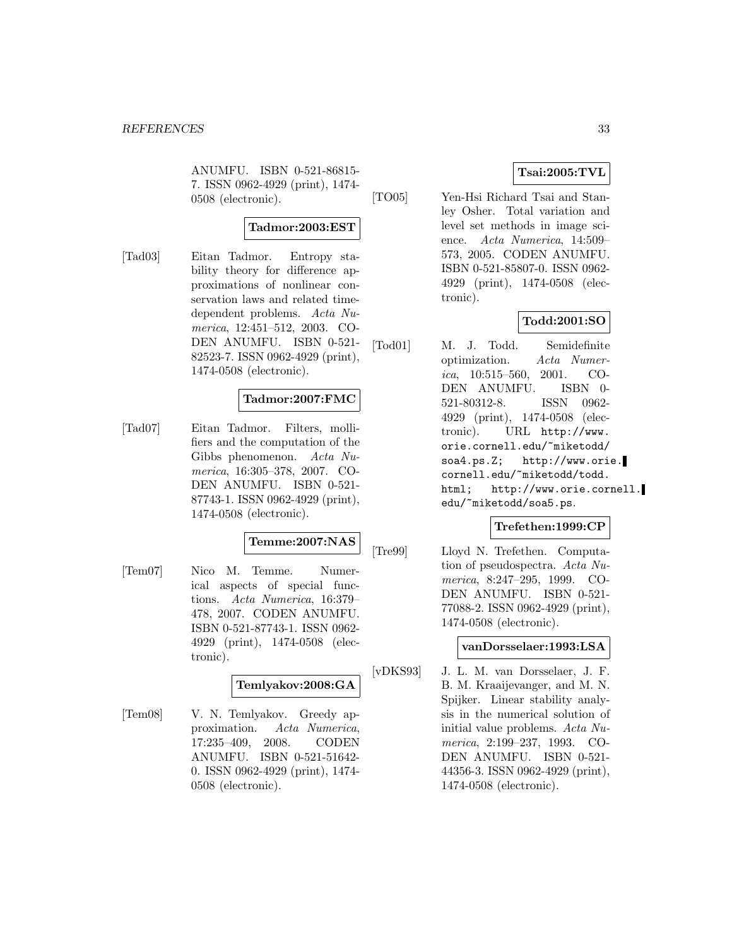ANUMFU. ISBN 0-521-86815- 7. ISSN 0962-4929 (print), 1474- 0508 (electronic).

# **Tadmor:2003:EST**

[Tad03] Eitan Tadmor. Entropy stability theory for difference approximations of nonlinear conservation laws and related timedependent problems. Acta Numerica, 12:451–512, 2003. CO-DEN ANUMFU. ISBN 0-521- 82523-7. ISSN 0962-4929 (print), 1474-0508 (electronic).

# **Tadmor:2007:FMC**

[Tad07] Eitan Tadmor. Filters, mollifiers and the computation of the Gibbs phenomenon. Acta Numerica, 16:305–378, 2007. CO-DEN ANUMFU. ISBN 0-521- 87743-1. ISSN 0962-4929 (print), 1474-0508 (electronic).

#### **Temme:2007:NAS**

[Tem07] Nico M. Temme. Numerical aspects of special functions. Acta Numerica, 16:379– 478, 2007. CODEN ANUMFU. ISBN 0-521-87743-1. ISSN 0962- 4929 (print), 1474-0508 (electronic).

# **Temlyakov:2008:GA**

[Tem08] V. N. Temlyakov. Greedy approximation. Acta Numerica, 17:235–409, 2008. CODEN ANUMFU. ISBN 0-521-51642- 0. ISSN 0962-4929 (print), 1474- 0508 (electronic).

# **Tsai:2005:TVL**

[TO05] Yen-Hsi Richard Tsai and Stanley Osher. Total variation and level set methods in image science. Acta Numerica, 14:509– 573, 2005. CODEN ANUMFU. ISBN 0-521-85807-0. ISSN 0962- 4929 (print), 1474-0508 (electronic).

# **Todd:2001:SO**

[Tod01] M. J. Todd. Semidefinite optimization. Acta Numerica,  $10:515-560$ ,  $2001$ . CO-DEN ANUMFU. ISBN 0- 521-80312-8. ISSN 0962- 4929 (print), 1474-0508 (electronic). URL http://www. orie.cornell.edu/~miketodd/ soa4.ps.Z; http://www.orie. cornell.edu/~miketodd/todd. html; http://www.orie.cornell. edu/~miketodd/soa5.ps.

# **Trefethen:1999:CP**

[Tre99] Lloyd N. Trefethen. Computation of pseudospectra. Acta Numerica, 8:247–295, 1999. CO-DEN ANUMFU. ISBN 0-521- 77088-2. ISSN 0962-4929 (print), 1474-0508 (electronic).

# **vanDorsselaer:1993:LSA**

[vDKS93] J. L. M. van Dorsselaer, J. F. B. M. Kraaijevanger, and M. N. Spijker. Linear stability analysis in the numerical solution of initial value problems. Acta Numerica, 2:199–237, 1993. CO-DEN ANUMFU. ISBN 0-521- 44356-3. ISSN 0962-4929 (print), 1474-0508 (electronic).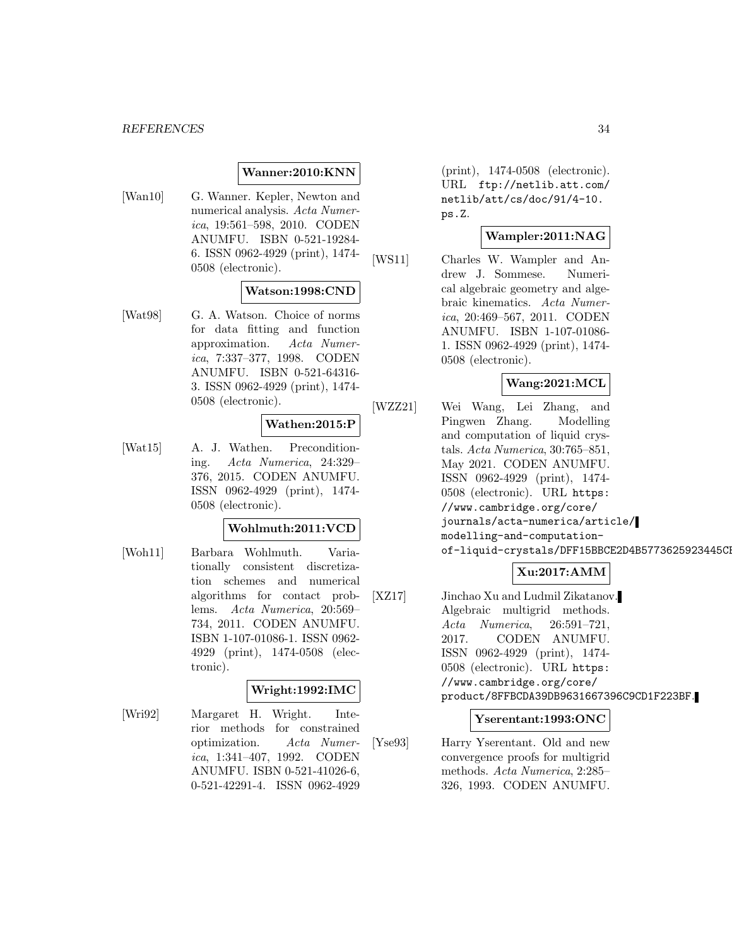#### **Wanner:2010:KNN**

[Wan10] G. Wanner. Kepler, Newton and numerical analysis. Acta Numerica, 19:561–598, 2010. CODEN ANUMFU. ISBN 0-521-19284- 6. ISSN 0962-4929 (print), 1474- 0508 (electronic).

#### **Watson:1998:CND**

[Wat98] G. A. Watson. Choice of norms for data fitting and function approximation. Acta Numerica, 7:337–377, 1998. CODEN ANUMFU. ISBN 0-521-64316- 3. ISSN 0962-4929 (print), 1474- 0508 (electronic).

# **Wathen:2015:P**

[Wat15] A. J. Wathen. Preconditioning. Acta Numerica, 24:329– 376, 2015. CODEN ANUMFU. ISSN 0962-4929 (print), 1474- 0508 (electronic).

#### **Wohlmuth:2011:VCD**

[Woh11] Barbara Wohlmuth. Variationally consistent discretization schemes and numerical algorithms for contact problems. Acta Numerica, 20:569– 734, 2011. CODEN ANUMFU. ISBN 1-107-01086-1. ISSN 0962- 4929 (print), 1474-0508 (electronic).

#### **Wright:1992:IMC**

[Wri92] Margaret H. Wright. Interior methods for constrained optimization. Acta Numerica, 1:341–407, 1992. CODEN ANUMFU. ISBN 0-521-41026-6, 0-521-42291-4. ISSN 0962-4929

(print), 1474-0508 (electronic). URL ftp://netlib.att.com/ netlib/att/cs/doc/91/4-10. ps.Z.

### **Wampler:2011:NAG**

[WS11] Charles W. Wampler and Andrew J. Sommese. Numerical algebraic geometry and algebraic kinematics. Acta Numerica, 20:469–567, 2011. CODEN ANUMFU. ISBN 1-107-01086- 1. ISSN 0962-4929 (print), 1474- 0508 (electronic).

#### **Wang:2021:MCL**

[WZZ21] Wei Wang, Lei Zhang, and Pingwen Zhang. Modelling and computation of liquid crystals. Acta Numerica, 30:765–851, May 2021. CODEN ANUMFU. ISSN 0962-4929 (print), 1474- 0508 (electronic). URL https: //www.cambridge.org/core/ journals/acta-numerica/article/ modelling-and-computationof-liquid-crystals/DFF15BBCE2D4B5773625923445Cl

# **Xu:2017:AMM**

[XZ17] Jinchao Xu and Ludmil Zikatanov. Algebraic multigrid methods. Acta Numerica, 26:591–721, 2017. CODEN ANUMFU. ISSN 0962-4929 (print), 1474- 0508 (electronic). URL https: //www.cambridge.org/core/ product/8FFBCDA39DB9631667396C9CD1F223BF.

#### **Yserentant:1993:ONC**

[Yse93] Harry Yserentant. Old and new convergence proofs for multigrid methods. Acta Numerica, 2:285– 326, 1993. CODEN ANUMFU.